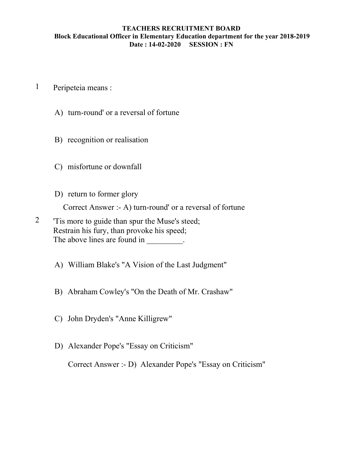## TEACHERS RECRUITMENT BOARD Block Educational Officer in Elementary Education department for the year 2018-2019 Date : 14-02-2020 SESSION : FN

- 1 Peripeteia means :
	- A) turn-round' or a reversal of fortune
	- B) recognition or realisation
	- C) misfortune or downfall
	- D) return to former glory

Correct Answer :- A) turn-round' or a reversal of fortune

- 2 'Tis more to guide than spur the Muse's steed; Restrain his fury, than provoke his speed; The above lines are found in \_\_\_\_\_\_\_\_.
	- A) William Blake's "A Vision of the Last Judgment"
	- B) Abraham Cowley's "On the Death of Mr. Crashaw"
	- C) John Dryden's "Anne Killigrew"
	- D) Alexander Pope's "Essay on Criticism"

Correct Answer :- D) Alexander Pope's "Essay on Criticism"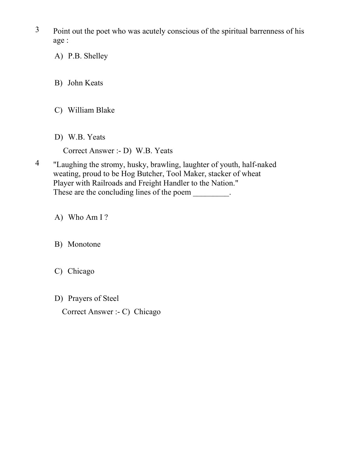- 3 Point out the poet who was acutely conscious of the spiritual barrenness of his age :
	- A) P.B. Shelley
	- B) John Keats
	- C) William Blake
	- D) W.B. Yeats

Correct Answer :- D) W.B. Yeats

4 "Laughing the stromy, husky, brawling, laughter of youth, half-naked weating, proud to be Hog Butcher, Tool Maker, stacker of wheat Player with Railroads and Freight Handler to the Nation." These are the concluding lines of the poem  $\cdot$ .

A) Who Am I ?

B) Monotone

- C) Chicago
- D) Prayers of Steel

Correct Answer :- C) Chicago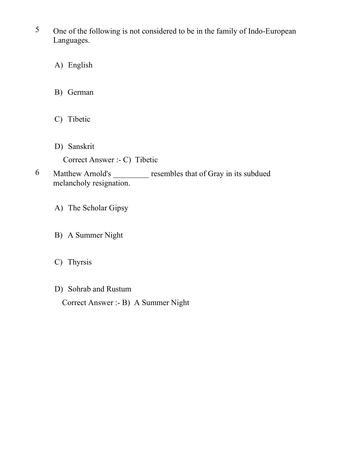- 5 One of the following is not considered to be in the family of Indo-European Languages.
	- A) English
	- B) German
	- C) Tibetic
	- D) Sanskrit

Correct Answer :- C) Tibetic

- 6 Matthew Arnold's resembles that of Gray in its subdued melancholy resignation.
	- A) The Scholar Gipsy
	- B) A Summer Night
	- C) Thyrsis
	- D) Sohrab and Rustum

Correct Answer :- B) A Summer Night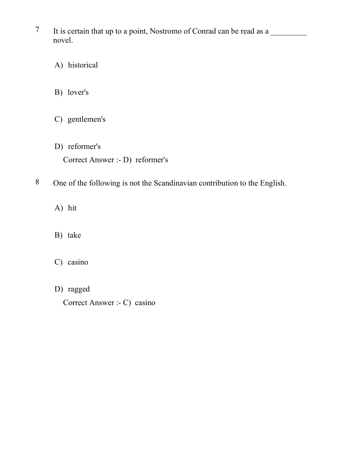- 7 It is certain that up to a point, Nostromo of Conrad can be read as a novel.
	- A) historical
	- B) lover's
	- C) gentlemen's
	- D) reformer's Correct Answer :- D) reformer's
- 8 One of the following is not the Scandinavian contribution to the English.
	- A) hit
	- B) take
	- C) casino
	- D) ragged

Correct Answer :- C) casino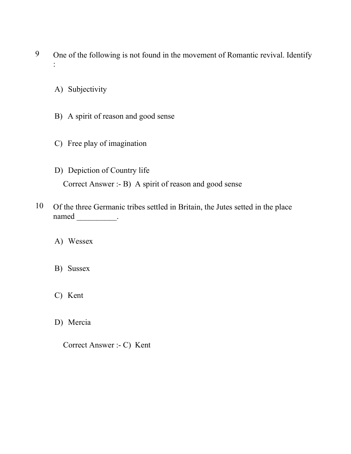- 9 One of the following is not found in the movement of Romantic revival. Identify :
	- A) Subjectivity
	- B) A spirit of reason and good sense
	- C) Free play of imagination
	- D) Depiction of Country life Correct Answer :- B) A spirit of reason and good sense
- 10 Of the three Germanic tribes settled in Britain, the Jutes setted in the place named \_\_\_\_\_\_\_\_\_\_\_\_.
	- A) Wessex
	- B) Sussex
	- C) Kent
	- D) Mercia
		- Correct Answer :- C) Kent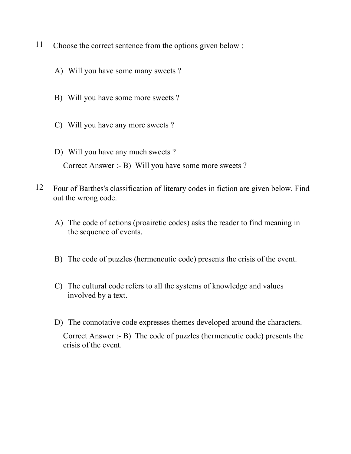- 11 Choose the correct sentence from the options given below :
	- A) Will you have some many sweets ?
	- B) Will you have some more sweets ?
	- C) Will you have any more sweets ?
	- D) Will you have any much sweets ? Correct Answer :- B) Will you have some more sweets ?
- 12 Four of Barthes's classification of literary codes in fiction are given below. Find out the wrong code.
	- A) The code of actions (proairetic codes) asks the reader to find meaning in the sequence of events.
	- B) The code of puzzles (hermeneutic code) presents the crisis of the event.
	- C) The cultural code refers to all the systems of knowledge and values involved by a text.
	- D) The connotative code expresses themes developed around the characters. Correct Answer :- B) The code of puzzles (hermeneutic code) presents the crisis of the event.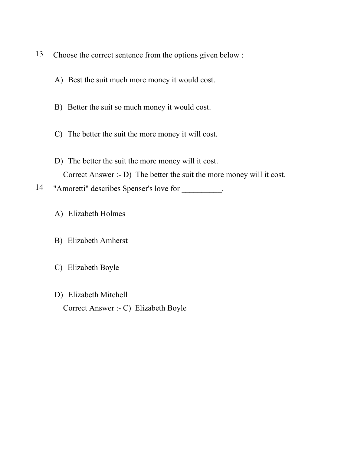- 13 Choose the correct sentence from the options given below :
	- A) Best the suit much more money it would cost.
	- B) Better the suit so much money it would cost.
	- C) The better the suit the more money it will cost.
	- D) The better the suit the more money will it cost. Correct Answer :- D) The better the suit the more money will it cost.
- 14 "Amoretti" describes Spenser's love for \_\_\_\_\_\_\_\_\_.
	- A) Elizabeth Holmes
	- B) Elizabeth Amherst
	- C) Elizabeth Boyle
	- D) Elizabeth Mitchell Correct Answer :- C) Elizabeth Boyle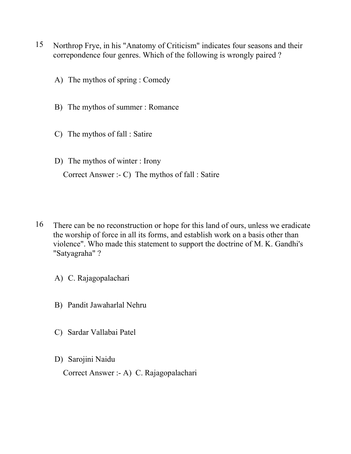- 15 Northrop Frye, in his "Anatomy of Criticism" indicates four seasons and their correpondence four genres. Which of the following is wrongly paired ?
	- A) The mythos of spring : Comedy
	- B) The mythos of summer : Romance
	- C) The mythos of fall : Satire
	- D) The mythos of winter : Irony Correct Answer :- C) The mythos of fall : Satire
- 16 There can be no reconstruction or hope for this land of ours, unless we eradicate the worship of force in all its forms, and establish work on a basis other than violence". Who made this statement to support the doctrine of M. K. Gandhi's "Satyagraha" ?
	- A) C. Rajagopalachari
	- B) Pandit Jawaharlal Nehru
	- C) Sardar Vallabai Patel
	- D) Sarojini Naidu

Correct Answer :- A) C. Rajagopalachari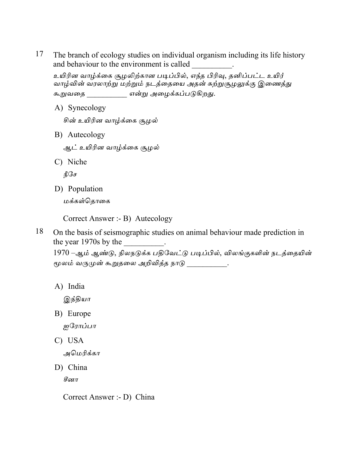17 The branch of ecology studies on individual organism including its life history and behaviour to the environment is called

உயிரின வாழ்க்கை சூழலிற்கான படிப்பில், எந்த பிரிவு, தனிப்பட்ட உயிர் வாழ்வின் வரலாற்று மற்றும் நடத்தையை அதன் சுற்றுசூழலுக்கு இணைத்து கூறுவதை \_\_\_\_\_\_\_\_\_\_\_\_ என்று அழைக்கப்படுகிறது.

A) Synecology

சின் உயிரின வாழ்க்கை சூழல்

B) Autecology

ஆட் உயிரின வாழ்க்கை சூழல்

C) Niche

நீசே

D) Population

மக்கள்தொகை

Correct Answer :- B) Autecology

18 On the basis of seismographic studies on animal behaviour made prediction in the year 1970s by the

1970 –ஆம் ஆண்டு, நிலநடுக்க பதிவேட்டு படிப்பில், விலங்குகளின் நடத்தையின் மூலம் வருமுன் கூறுதலை அறிவித்த நாடு வான் வ

A) India

இந்தியா

B) Europe

ஐரோப்பா

C) USA

அமெரிக்கா

D) China

சீனா

Correct Answer :- D) China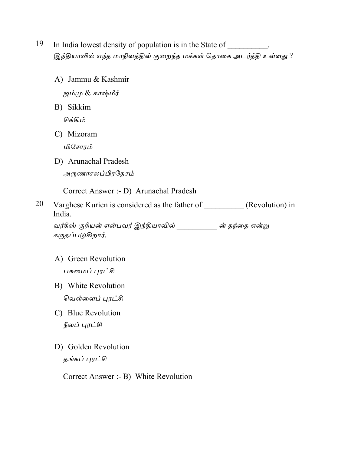- 19 In India lowest density of population is in the State of . இந்தியாவில் எந்த மாநிலத்தில் குறைந்த மக்கள் தொகை அடர்த்தி உள்ளது ?
	- A) Jammu & Kashmir ஜம்மு & காஷ்மீர்
	- B) Sikkim சிக்கிம்
	- C) Mizoram மிசோரம்
	- D) Arunachal Pradesh அருணாசலப்பிரதேசம்

Correct Answer :- D) Arunachal Pradesh

Varghese Kurien is considered as the father of \_\_\_\_\_\_\_\_\_\_ (Revolution) in 20 India.

கருதப்படுகிறார்.

- A) Green Revolution பசுமைப் புரட்சி
- B) White Revolution வெள்ளைப் புரட்சி
- C) Blue Revolution நீலப் புரட்சி
- D) Golden Revolution தங்கப் புரட்சி

Correct Answer :- B) White Revolution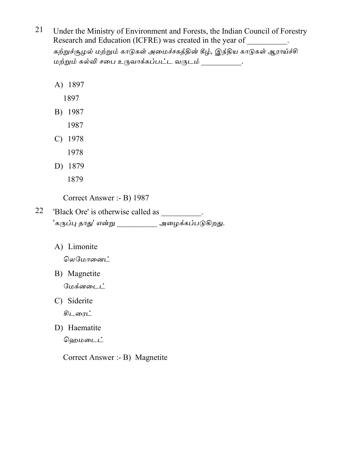21 Under the Ministry of Environment and Forests, the Indian Council of Forestry Research and Education (ICFRE) was created in the year of \_\_\_\_\_\_\_\_\_\_.

சுற்றுச்சூழல் மற்றும் காடுகள் அமைச்சகத்தின் கீழ், இந்திய காடுகள் ஆராய்ச்சி மற்றும் கல்வி சபை உருவாக்கப்பட்ட வருடம் \_\_\_\_\_\_\_\_\_\_.

A) 1897

1897

- B) 1987
	- 1987
- $C)$  1978
	- 1978
- D) 1879
	- 1879

Correct Answer :- B) 1987

- 22 'Black Ore' is otherwise called as \_\_\_\_\_\_\_\_\_. 'கருப்பு தாது' என்று \_\_\_\_\_\_\_\_\_\_\_ அழைக்கப்படுகிறது.
	- A) Limonite

லெமோனைட்

B) Magnetite

மேக்னடைட்

C) Siderite

சிடரைட்

D) Haematite

ஹெமடைட்

Correct Answer :- B) Magnetite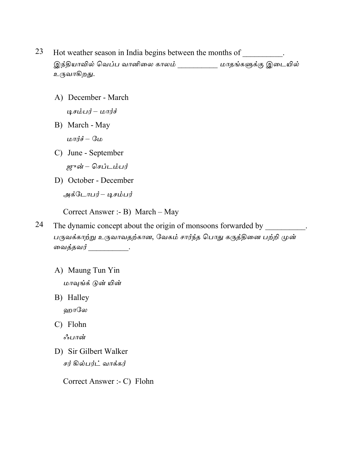- 23 Hot weather season in India begins between the months of . இந்தியாவில் வெப்ப வானிலை காலம் \_\_\_\_\_\_\_\_\_\_\_\_ மாதங்களுக்கு இடையில் உருவாகிறது.
	- A) December March டிசம்பர் – மார்ச்
	- B) March May

மார்ச் – மே

- C) June September ஜுன் – செப்டம்பர்
- D) October December

அக்டோபர்– டிசம்பர்

Correct Answer :- B) March - May

- 24 The dynamic concept about the origin of monsoons forwarded by  $\overline{\phantom{a}}$ பருவக்காற்று உருவாவதற்கான, வேகம் சார்ந்த பொது கருத்தினை பற்றி முன் வைத்தவர் \_\_\_\_\_\_\_\_\_\_\_.
	- A) Maung Tun Yin மாவுங்க் டுன் யின்
	- B) Halley ஹாலே
	- C) Flohn

ஃபான்

D) Sir Gilbert Walker சர் கில்பர்ட் வாக்கர்

Correct Answer :- C) Flohn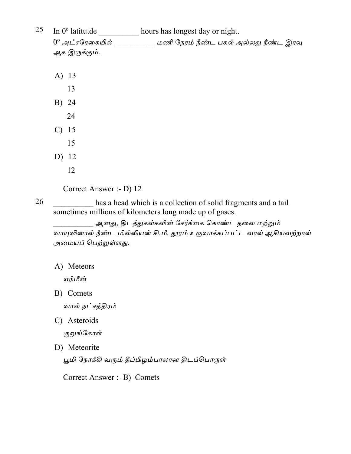| 25 | In 0 <sup>°</sup> latitutde | hours has longest day or night.        |
|----|-----------------------------|----------------------------------------|
|    | $0^\mathrm{o}$ அட்சரேகையில் | மணி நேரம் நீண்ட பகல் அல்லது நீண்ட இரவு |
|    | ஆக இருக்கும்.               |                                        |
|    |                             |                                        |

- A) 13
- 13 B) 24
- 24
- $C)$  15
- 15
- D) 12

26

12

Correct Answer :- D) 12

has a head which is a collection of solid fragments and a tail sometimes millions of kilometers long made up of gases.

<sub>.</sub> ஆனது, திடத்துகள்களின் சேர்க்கை கொண்ட தலை மற்றும் வாயுவினால் நீண்ட மில்லியன் கி.மீ. தூரம் உருவாக்கப்பட்ட வால் ஆகியவற்றால் அமையப் பெற்றுள்ளது.

A) Meteors

எரிமீன்

B) Comets

வால் நட்சத்திரம்

C) Asteroids

குறுங்கோள்

D) Meteorite

பூமி நோக்கி வரும் தீப்பிழம்பாலான திடப்பொருள்

Correct Answer :- B) Comets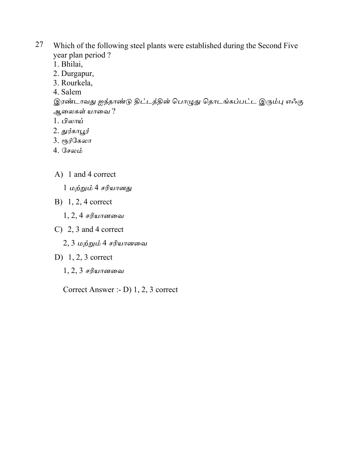- 27 Which of the following steel plants were established during the Second Five year plan period?
	- 1. Bhilai,
	- 2. Durgapur,
	- 3. Rourkela,
	- 4. Salem

இரண்டாவது ஐந்தாண்டு திட்டத்தின் பொழுது தொடங்கப்பட்ட இரும்பு எஃகு ஆலைகள் யாவை ?

- $1. \mathcal{L}$ லாய்
- 2. துர்காபூர்
- 3. ரூர்கேலா
- 4. சேலம்
- A) 1 and 4 correct
	- 1 மற்றும் 4 சரியானது
- B)  $1, 2, 4$  correct
	- $1, 2, 4$  சரியானவை
- C) 2, 3 and 4 correct
	- 2, 3 மற்றும் 4 சரியானவை
- D)  $1, 2, 3$  correct
	- $1, 2, 3$  சரியானவை

Correct Answer :-  $D$ ) 1, 2, 3 correct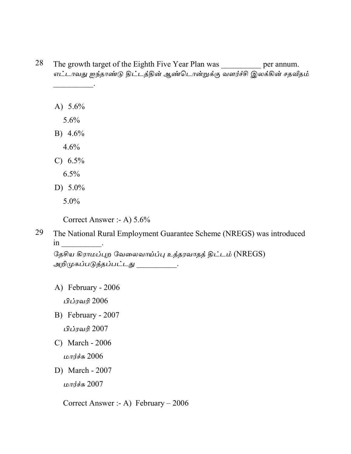| The growth target of the Eighth Five Year Plan was<br>எட்டாவது ஐந்தாண்டு திட்டத்தின் ஆண்டொன்றுக்கு வளர்ச்சி இலக்கின் சதவீதம் | per annum. |
|------------------------------------------------------------------------------------------------------------------------------|------------|
|                                                                                                                              |            |
|                                                                                                                              |            |
| A) $5.6\%$                                                                                                                   |            |
| 5.6%                                                                                                                         |            |
| B) $4.6\%$                                                                                                                   |            |
| 4.6%                                                                                                                         |            |
| C) $6.5\%$                                                                                                                   |            |
| 6.5%                                                                                                                         |            |
| D) $5.0\%$                                                                                                                   |            |
| $5.0\%$                                                                                                                      |            |

The National Rural Employment Guarantee Scheme (NREGS) was introduced 29  $\operatorname{in}$  \_\_\_\_\_\_\_\_\_\_\_\_.

தேசிய கிராமப்புற வேலைவாய்ப்பு உத்தரவாதத் திட்டம் (NREGS) அறிமுகப்படுத்தப்பட்டது \_\_\_\_\_\_\_\_.

A) February - 2006

பிப்ரவரி 2006

- B) February 2007 பிப்ரவரி 2007
- C) March 2006

மார்ச்சு  $2006$ 

D) March - 2007

மார்ச்சு 2007

Correct Answer :- A) February  $-2006$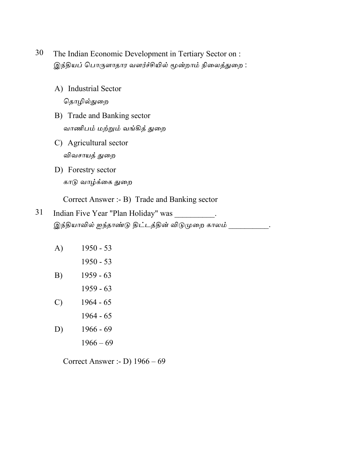- 30 The Indian Economic Development in Tertiary Sector on : இந்தியப் பொருளாதார வளர்ச்சியில் மூன்றாம் நிலைத்துறை:
	- A) Industrial Sector தொழில்துறை
	- B) Trade and Banking sector வாணிபம் மற்றும் வங்கித் துறை
	- C) Agricultural sector விவசாயத் துறை
	- D) Forestry sector காடு வாழ்க்கை துறை

Correct Answer :- B) Trade and Banking sector

- 31 Indian Five Year "Plan Holiday" was இந்தியாவில் ஐந்தாண்டு திட்டத்தின் விடுமுறை காலம் .
	- $1950 53$  $A)$ 
		- $1950 53$
	- $1959 63$  $B)$  $1959 - 63$
	- $\mathcal{C}$  $1964 - 65$ 
		- $1964 65$
	- $1966 69$  $D)$ 
		- $1966 69$

Correct Answer :- D)  $1966 - 69$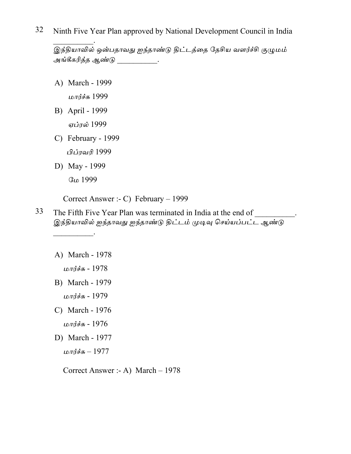32 Ninth Five Year Plan approved by National Development Council in India

.<br>இந்தியாவில் ஒன்பதாவது ஐந்தாண்டு திட்டத்தை தேசிய வளர்ச்சி குழுமம் அங்கீகரித்த ஆண்டு .

- A) March 1999 மார்ச்சு 1999
- B) April 1999 ஏப்ரல் 1999
- C) February 1999

பிப்ரவரி 1999

D) May - 1999

மே 1999

Correct Answer :- C) February  $-1999$ 

- 33 The Fifth Five Year Plan was terminated in India at the end of \_\_\_\_\_\_\_\_\_. இந்தியாவில் ஐந்தாவது ஐந்தாண்டு திட்டம் முடிவு செய்யப்பட்ட ஆண்டு
	- A) March 1978

மார்ச்சு - 1978

- B) March 1979 மார்ச்சு - 1979
- C) March 1976 மார்ச்சு - 1976
- D) March 1977 மார்ச்சு  $-1977$

Correct Answer :- A) March  $-1978$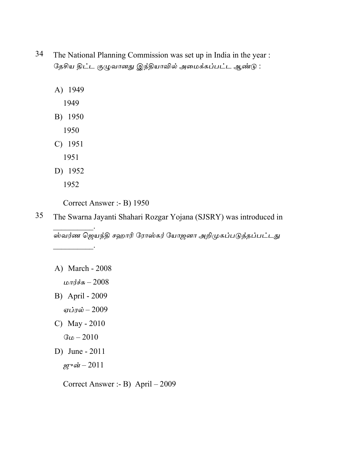- 34 The National Planning Commission was set up in India in the year : தேசிய திட்ட குழுவானது இந்தியாவில் அமைக்கப்பட்ட ஆண்டு:
	- A) 1949
		- 1949
	- B) 1950
		- 1950
	- $C)$  1951
		- 1951
	- D) 1952
		- 1952

Correct Answer :- B) 1950

35 The Swarna Jayanti Shahari Rozgar Yojana (SJSRY) was introduced in ஸ்வர்ண ஜெயந்தி சஹாரி ரோஸ்கர் யோஜனா அறிமுகப்படுத்தப்பட்டது

A) March - 2008

மார்ச்சு  $-2008$ 

- B) April 2009
- ஏப்ரல் 2009
- C) May  $2010$ 
	- $G_{LD} 2010$
- D) June  $2011$

ஜுன் $-2011$ 

Correct Answer :- B) April  $-2009$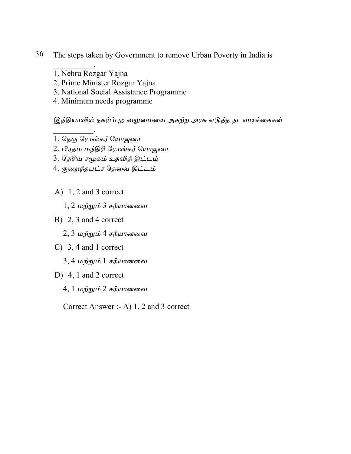- 36 The steps taken by Government to remove Urban Poverty in India is
	- 1. Nehru Rozgar Yajna
	- 2. Prime Minister Rozgar Yajna
	- 3. National Social Assistance Programme
	- 4. Minimum needs programme

இந்தியாவில் நகர்ப்புற வறுமையை அகற்ற அரசு எடுத்த நடவடிக்கைகள்

- 1. நேரு ரோஸ்கர் யோஜனா
- 2. பிரதம மந்திரி ரோஸ்கர் யோஜனா
- 3. தேசிய சமூகம் உதவித் திட்டம்
- 4. குறைந்தபட்ச தேவை திட்டம்
- A)  $1, 2$  and 3 correct
	- 1, 2 மற்றும் 3 சரியானவை
- B)  $2, 3$  and 4 correct
	- 2, 3 மற்றும் 4 சரியானவை
- C)  $3, 4$  and 1 correct
	- 3, 4 மற்றும் 1 சரியானவை
- D) 4, 1 and 2 correct
	- 4, 1 மற்றும் 2 சரியானவை

Correct Answer :- A) 1, 2 and 3 correct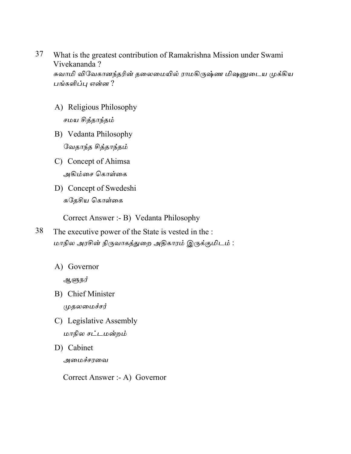- 37 What is the greatest contribution of Ramakrishna Mission under Swami Vivekananda? சுவாமி விவேகானந்தரின் தலைமையில் ராமகிருஷ்ண மிஷனுடைய முக்கிய பங்களிப்பு என்ன ?
	- A) Religious Philosophy சமய சித்தாந்தம்
	- B) Vedanta Philosophy வேதாந்த சித்தாந்தம்
	- C) Concept of Ahimsa அகிம்சை கொள்கை
	- D) Concept of Swedeshi சுதேசிய கொள்கை

Correct Answer :- B) Vedanta Philosophy

- 38 The executive power of the State is vested in the : மாநில அரசின் நிருவாகத்துறை அதிகாரம் இருக்குமிடம் :
	- A) Governor

ஆளுநர்

- B) Chief Minister முதலமைச்சர்
- C) Legislative Assembly மாநில சட்டமன்றம்
- D) Cabinet அமைச்சரவை

Correct Answer :- A) Governor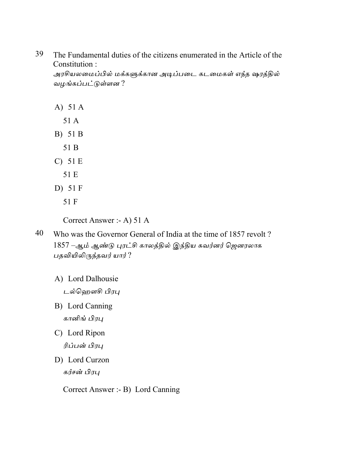39 The Fundamental duties of the citizens enumerated in the Article of the Constitution:

அரசியலமைப்பில் மக்களுக்கான அடிப்படை கடமைகள் எந்த ஷரத்தில் வழங்கப்பட்டுள்ளன ?

- A)  $51A$ 
	- 51 A
- B) 51 B
	- 51 B
- $C)$  51 E
	- 51 E
- D)  $51F$ 
	- 51 F

Correct Answer :- A) 51 A

- 40 Who was the Governor General of India at the time of 1857 revolt? 1857 –ஆம் ஆண்டு புரட்சி காலத்தில் இந்திய கவர்னர் ஜெனரலாக பதவியிலிருந்தவர் யார் ?
	- A) Lord Dalhousie

டல்ஹௌசி பிரபு

- B) Lord Canning கானிங் பிரபு
- C) Lord Ripon ரிப்பன் பிரபு
- D) Lord Curzon கர்சன் பிரபு

Correct Answer :- B) Lord Canning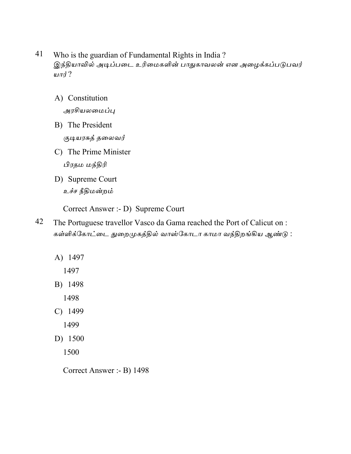- 41 Who is the guardian of Fundamental Rights in India ? இந்தியாவில் அடிப்படை உரிமைகளின் பாதுகாவலன் என அழைக்கப்படுபவர் யார் $?$ 
	- A) Constitution

அரசியலமைப்பு

- B) The President குடியரசுத் தலைவர்
- C) The Prime Minister பிரதம மந்திரி
- D) Supreme Court உச்ச நீதிமன்றம்

Correct Answer :- D) Supreme Court

- 42 The Portuguese travellor Vasco da Gama reached the Port of Calicut on : கள்ளிக்கோட்டை துறைமுகத்தில் வாஸ்கோடா காமா வந்திறங்கிய ஆண்டு :
	- A) 1497
		- 1497
	- B) 1498

1498

- C) 1499
	- 1499
- D) 1500

1500

Correct Answer :- B) 1498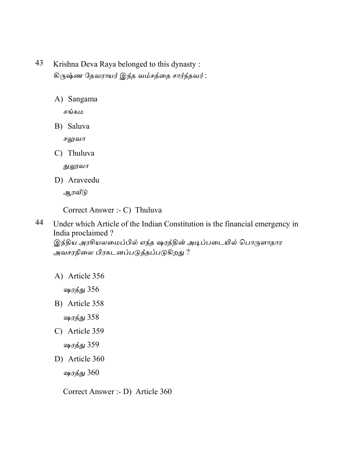- 43 Krishna Deva Raya belonged to this dynasty: கிருஷ்ண தேவராயர் இந்த வம்சத்தை சார்ந்தவர்:
	- A) Sangama

சங்கம

B) Saluva

சலுவா

C) Thuluva

துலூவா

D) Araveedu

ஆரவீடு

Correct Answer :- C) Thuluva

44 Under which Article of the Indian Constitution is the financial emergency in India proclaimed? இந்திய அரசியலமைப்பில் எந்த ஷரத்தின் அடிப்படையில் பொருளாதார அவசரநிலை பிரகடனப்படுத்தப்படுகிறது ?

A) Article 356

ஷரத்து 356

B) Article 358

ஷரத்து 358

C) Article 359

ஷரத்து 359

D) Article 360

ஷரத்து 360

Correct Answer :- D) Article 360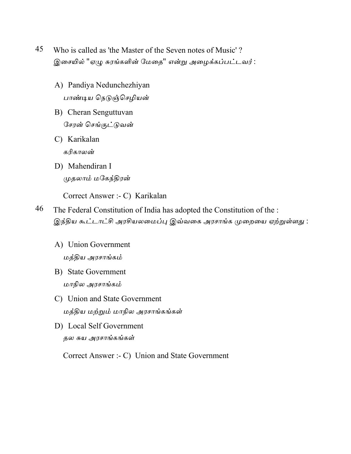- 45 Who is called as 'the Master of the Seven notes of Music'? இசையில் "ஏழு சுரங்களின் மேதை" என்று அழைக்கப்பட்டவர் :
	- A) Pandiya Nedunchezhiyan பாண்டிய நெடுஞ்செழியன்
	- B) Cheran Senguttuvan சேரன் செங்குட்டுவன்
	- C) Karikalan கரிகாலன்
	- D) Mahendiran I முதலாம் மகேந்திரன்

Correct Answer :- C) Karikalan

- 46 The Federal Constitution of India has adopted the Constitution of the : இந்திய கூட்டாட்சி அரசியலமைப்பு இவ்வகை அரசாங்க முறையை ஏற்றுள்ளது :
	- A) Union Government மத்திய அரசாங்கம்
	- **B**) State Government மாநில அரசாங்கம்
	- C) Union and State Government மத்திய மற்றும் மாநில அரசாங்கங்கள்
	- D) Local Self Government தல சுய அரசாங்கங்கள்

Correct Answer :- C) Union and State Government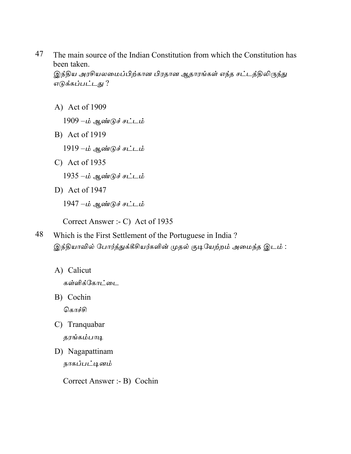47 The main source of the Indian Constitution from which the Constitution has been taken. இந்திய அரசியலமைப்பிற்கான பிரதான ஆதாரங்கள் எந்த சட்டத்திலிருந்து

எடுக்கப்பட்டது ?

A) Act of 1909

 $1909 - \dot{\mathbf{\omega}}$  ஆண்டுச் சட்டம்

- B) Act of 1919
	- $1919 \dot{\mathbf{\omega}}$  ஆண்டுச் சட்டம்
- C) Act of  $1935$ 
	- 1935 –ம் ஆண்டுச் சட்டம்
- D) Act of  $1947$

 $1947 - \dot{\mathbf{\omega}}$  ஆண்டுச் சட்டம்

Correct Answer :- C) Act of 1935

- 48 Which is the First Settlement of the Portuguese in India? இந்தியாவில் போர்த்துக்கீசியர்களின் முதல் குடியேற்றம் அமைந்த இடம் :
	- A) Calicut

கள்ளிக்கோட்டை

- B) Cochin கொச்சி
- C) Tranquabar தரங்கம்பாடி
- D) Nagapattinam நாகப்பட்டினம்

Correct Answer :- B) Cochin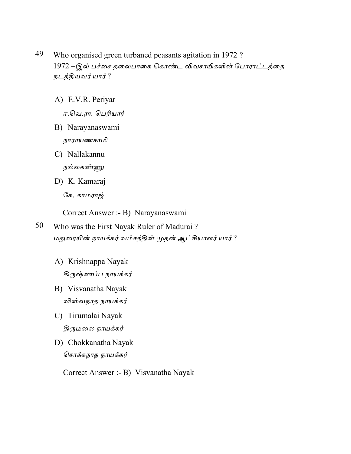- 49 Who organised green turbaned peasants agitation in 1972? 1972 –இல் பச்சை தலைபாகை கொண்ட விவசாயிகளின் போராட்டத்தை நடத்தியவர் யார்?
	- A) E.V.R. Periyar

ஈ.வெ.ரா. பெரியார்

- B) Narayanaswami நாராயணசாமி
- C) Nallakannu நல்லகண்ணு
- D) K. Kamaraj

கே. காமராஜ்

Correct Answer :- B) Narayanaswami

- 50 Who was the First Nayak Ruler of Madurai? மதுரையின் நாயக்கர் வம்சத்தின் முதன் ஆட்சியாளர் யார் ?
	- A) Krishnappa Nayak கிருஷ்ணப்ப நாயக்கர்
	- B) Visvanatha Nayak விஸ்வநாத நாயக்கர்
	- C) Tirumalai Nayak திருமலை நாயக்கர்
	- D) Chokkanatha Nayak சொக்கநாத நாயக்கர்

Correct Answer :- B) Visvanatha Nayak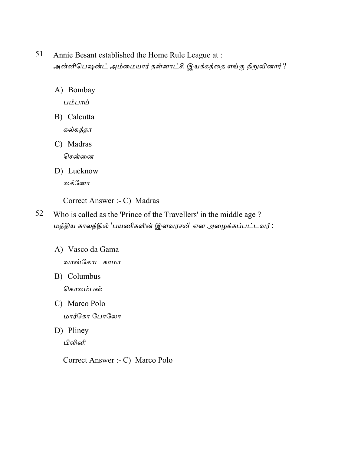- 51 Annie Besant established the Home Rule League at: அன்னிபெஷன்ட் அம்மையார் தன்னாட்சி இயக்கத்தை எங்கு நிறுவினார்?
	- A) Bombay

பம்பாய்

B) Calcutta

கல்கத்தா

C) Madras சென்னை

D) Lucknow லக்னோ

Correct Answer :- C) Madras

- 52 Who is called as the 'Prince of the Travellers' in the middle age ? மத்திய காலத்தில் 'பயணிகளின் இளவரசன்' என அழைக்கப்பட்டவர் :
	- A) Vasco da Gama வாஸ்கோட காமா
	- B) Columbus கொலம்பஸ்
	- C) Marco Polo மார்கோ போலோ
	- D) Pliney பிளினி

Correct Answer :- C) Marco Polo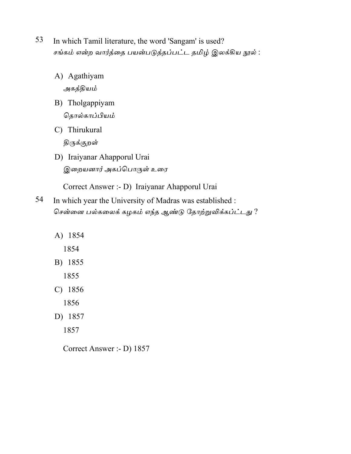- 53 In which Tamil literature, the word 'Sangam' is used? சங்கம் என்ற வார்த்தை பயன்படுத்தப்பட்ட தமிழ் இலக்கிய நூல் :
	- A) Agathiyam அகத்தியம்
	- B) Tholgappiyam தொல்காப்பியம்
	- C) Thirukural திருக்குற**ள்**
	- D) Iraiyanar Ahapporul Urai இறையனார் அகப்பொருள் உரை

Correct Answer :- D) Iraiyanar Ahapporul Urai

- 54 In which year the University of Madras was established : சென்னை பல்கலைக் கழகம் எந்த ஆண்டு தோற்றுவிக்கப்ட்டது?
	- A) 1854
		- 1854
	- B) 1855
		- 1855
	- C) 1856
		- 1856
	- D) 1857
		- 1857

Correct Answer :- D) 1857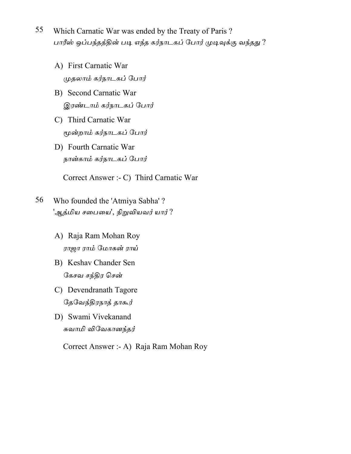- 55 Which Carnatic War was ended by the Treaty of Paris? பாரீஸ் ஒப்பந்தத்தின் படி எந்த கர்நாடகப் போர் முடிவுக்கு வந்தது ?
	- A) First Carnatic War முதலாம் கர்நாடகப் போர்
	- B) Second Carnatic War இரண்டாம் கர்நாடகப் போர்
	- C) Third Carnatic War மூன்றாம் கர்நாடகப் போர்
	- D) Fourth Carnatic War நான்காம் கர்நாடகப் போர்

Correct Answer :- C) Third Carnatic War

- 56 Who founded the 'Atmiya Sabha'? 'ஆத்மிய சபையை', நிறுவியவர் யார்?
	- A) Raja Ram Mohan Roy ராஜா ராம் மோகன் ராய்
	- B) Keshav Chander Sen கேசவ சந்திர சென்
	- C) Devendranath Tagore தேவேந்திரநாத் தாகூர்
	- D) Swami Vivekanand சுவாமி விவேகானந்தர்

Correct Answer :- A) Raja Ram Mohan Roy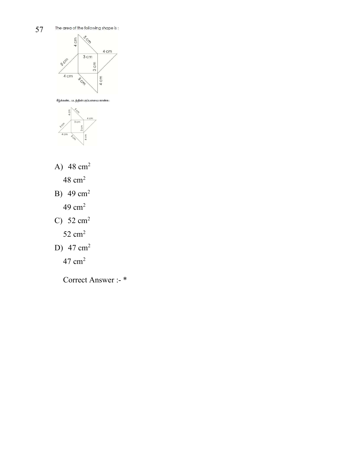

கீழ்க்கண்ட படத்தின் பரப்பளவை காண்க :



A)  $48 \text{ cm}^2$ 

48 cm<sup>2</sup>

- B)  $49 \text{ cm}^2$ 
	- 49 cm<sup>2</sup>
- C)  $52 \text{ cm}^2$

52 cm<sup>2</sup>

D)  $47 \text{ cm}^2$ 

47 cm<sup>2</sup>

Correct Answer :- \*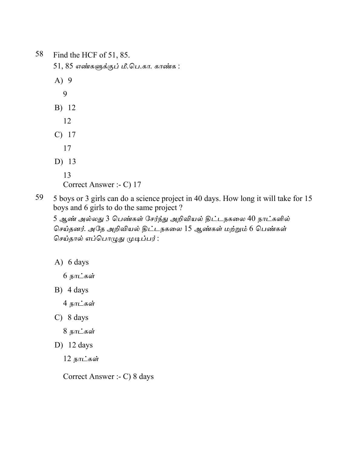58 Find the HCF of 51, 85.  $51, 85$  எண்களுக்குப் மீ.பெ.கா. காண்க : A) 9 9 B) 12 12 C) 17 17 D) 13 13 Correct Answer :- C) 17

59 5 boys or 3 girls can do a science project in 40 days. How long it will take for 15 boys and 6 girls to do the same project ?

5 ஆண் அல்லது 3 பெண்கள் சேர்ந்து அறிவியல் திட்டநகலை 40 நாட்களில் செய்தனர். அதே அறிவியல் திட்டநகலை 15 ஆண்கள் மற்றும் 6 பெண்கள் செய்தால் எப்பொழுது முடிப்பர்:

A) 6 days

 $6$  நாட்கள்

B) 4 days

 $4 \overline{B}$ ரட்கள்

C) 8 days

8 நாட்கள்

D) 12 days

 $12$  நாட்கள்

Correct Answer :- C) 8 days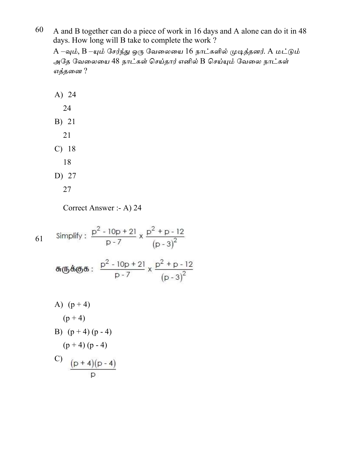60 A and B together can do a piece of work in 16 days and A alone can do it in 48 days. How long will B take to complete the work?

A –வும், B –யும் சேர்ந்து ஒரு வேலையை 16 நாட்களில் முடித்தனர். A மட்டும் அதே வேலையை 48 நாட்கள் செய்தார் எனில் B செய்யும் வேலை நாட்கள் எத்தனை ?

Correct Answer :- A) 24

Simplify:  $\frac{p^2 - 10p + 21}{p - 7} \times \frac{p^2 + p - 12}{(p - 3)^2}$ 61 சுருக்குக :  $\frac{p^2 - 10p + 21}{p - 7}$  x  $\frac{p^2 + p - 12}{(p - 3)^2}$ A)  $(p+4)$  $(p + 4)$ B)  $(p+4)(p-4)$  $(p+4)(p-4)$ C)  $\frac{(p+4)(p-4)}{p}$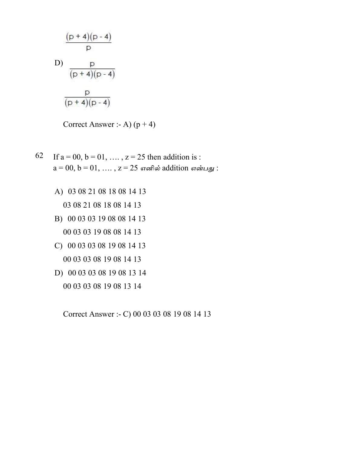$$
\frac{(p+4)(p-4)}{p}
$$
  
D)
$$
\frac{p}{(p+4)(p-4)}
$$
  

$$
\frac{p}{(p+4)(p-4)}
$$

Correct Answer :- A)  $(p + 4)$ 

- 62 If  $a = 00$ ,  $b = 01$ , ...,  $z = 25$  then addition is:  $a = 00, b = 01, ..., z = 25$  எனில் addition என்பது:
	- A) 03 08 21 08 18 08 14 13

03 08 21 08 18 08 14 13

- B) 00 03 03 19 08 08 14 13 00 03 03 19 08 08 14 13
- C) 00 03 03 08 19 08 14 13 00 03 03 08 19 08 14 13
- D) 00 03 03 08 19 08 13 14
	- 00 03 03 08 19 08 13 14

Correct Answer :- C) 00 03 03 08 19 08 14 13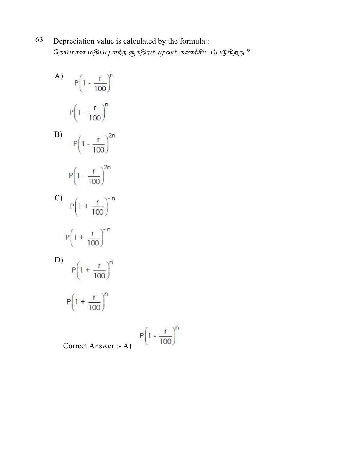- 63 Depreciation value is calculated by the formula : தேய்மான மதிப்பு எந்த சூத்திரம் மூலம் கணக்கிடப்படுகிறது ?
	- A)  $P(1 \frac{r}{100})^n$  $P(1 - \frac{r}{100})^n$ B)  $P(1 - \frac{r}{100})^{2n}$  $P(1 - \frac{r}{100})^{2n}$ C)  $P(1 + \frac{r}{100})^n$  $P(1 + \frac{r}{100})^{n}$ D)  $P(1 + \frac{r}{100})^n$  $P\left(1 + \frac{r}{100}\right)^n$  $P(1 - \frac{r}{100})^n$

Correct Answer :- A)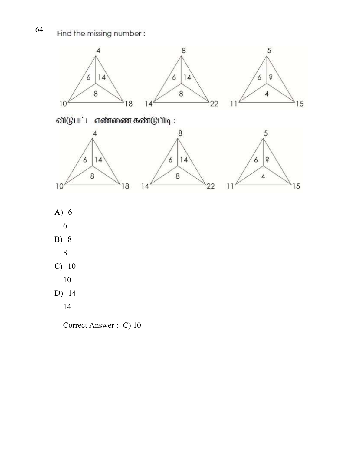64 Find the missing number:



Correct Answer :- C) 10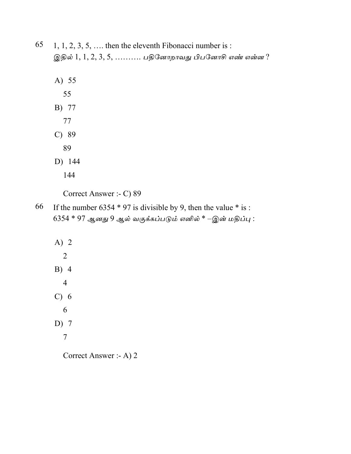| $65$ 1, 1, 2, 3, 5, , then the eleventh Fibonacci number is : |  |  |
|---------------------------------------------------------------|--|--|
| இதில் $1, 1, 2, 3, 5, \ldots$ பதினோறாவது பிபனோசி எண் என்ன ?   |  |  |

- A) 55
	- 55
- B) 77
- 77
- $C)$  89
- 89
- D) 144
	- 144

Correct Answer :- C) 89

66 If the number 6354  $*$  97 is divisible by 9, then the value  $*$  is :  $6354 * 97$  ஆனது 9 ஆல் வகுக்கப்படும் எனில்  $*$  –இன் மதிப்பு:

A) 2  $\overline{2}$  $B)$  4  $\overline{4}$  $C) 6$ 6 D)  $7$  $\overline{7}$ 

Correct Answer :- A) 2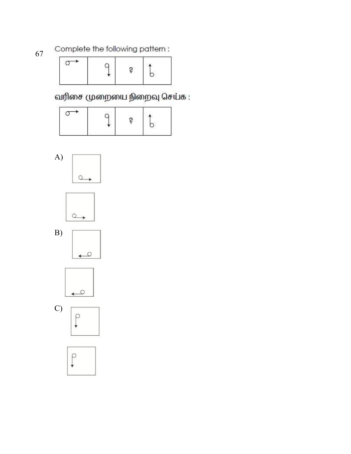Complete the following pattern:

|--|--|--|--|--|

வரிசை முறையை நிறைவு செய்க :













67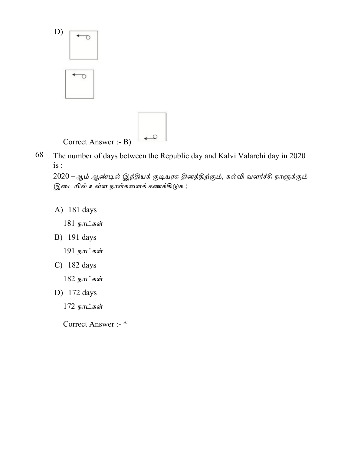



 $\rightarrow$ 

2020 –ஆம் ஆண்டில் இந்தியக் குடியரசு தினத்திற்கும், கல்வி வளர்ச்சி நாளுக்கும் இடையில் உள்ள நாள்களைக் கணக்கிடுக :

A) 181 days

181 நாட்கள்

B) 191 days

191 நாட்கள்

C)  $182 \text{ days}$ 

182 நாட்கள்

D) 172 days

172 நாட்கள்

Correct Answer :- \*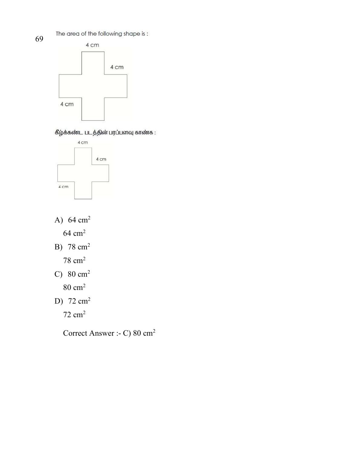The area of the following shape is:



கீழ்க்கண்ட படத்தின் பரப்பளவு காண்க :



- A)  $64 \text{ cm}^2$ 64 cm<sup>2</sup>
- B) 78 cm<sup>2</sup>

78 cm<sup>2</sup>

C)  $80 \text{ cm}^2$ 

80 cm<sup>2</sup>

D) 72 cm<sup>2</sup>

72 cm<sup>2</sup>

Correct Answer :- C) 80 cm2

69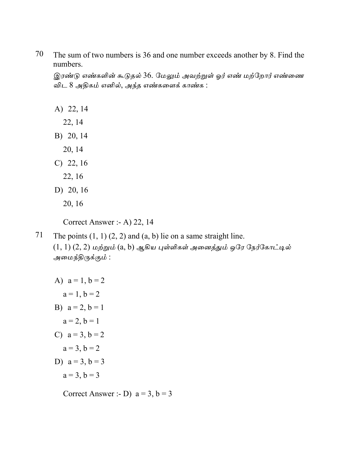70 The sum of two numbers is 36 and one number exceeds another by 8. Find the numbers.

இரண்டு எண்களின் கூடுதல் 36. மேலும் அவற்றுள் ஓர் எண் மற்றோர் எண்ணை விட 8 அதிகம் எனில், அந்த எண்களைக் காண்க :

A) 22, 14

22, 14

- B) 20, 14
- 20, 14
- $C)$  22, 16
	- 22, 16
- D) 20, 16
	- 20, 16

Correct Answer :- A) 22, 14

71 The points  $(1, 1)$   $(2, 2)$  and  $(a, b)$  lie on a same straight line.  $(1, 1)$   $(2, 2)$  மற்றும்  $(a, b)$  ஆகிய புள்ளிகள் அனைத்தும் ஒரே நேர்கோட்டில் அமைந்திருக்கும் :

A) 
$$
a = 1, b = 2
$$
  
\n $a = 1, b = 2$   
\nB)  $a = 2, b = 1$   
\n $a = 2, b = 1$   
\nC)  $a = 3, b = 2$   
\n $a = 3, b = 3$   
\n $a = 3, b = 3$ 

Correct Answer :- D)  $a = 3$ ,  $b = 3$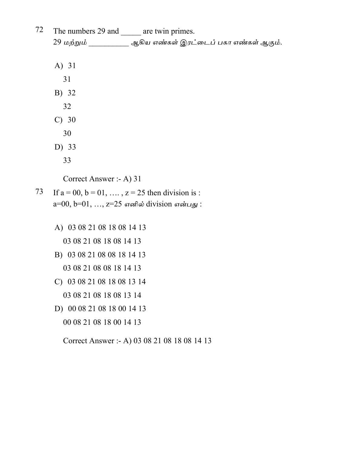| 72 | The numbers 29 and ______ are twin primes.                   |
|----|--------------------------------------------------------------|
|    | 29 மற்றும் __________ ஆகிய எண்கள் இரட்டைப் பகா எண்கள் ஆகும். |
|    |                                                              |
|    | A) 31                                                        |
|    | 31                                                           |
|    | B) 32                                                        |
|    | 32                                                           |
|    | $C)$ 30                                                      |
|    | 30                                                           |
|    | D) 33                                                        |
|    | 33                                                           |
|    | Correct Answer :- A) 31                                      |
| 73 | If $a = 00$ , $b = 01$ , , $z = 25$ then division is:        |
|    | $a=00, b=01, , z=25$ எனில் division என்பது :                 |
|    | A) 03 08 21 08 18 08 14 13                                   |
|    | 03 08 21 08 18 08 14 13                                      |
|    | B) 03 08 21 08 08 18 14 13                                   |
|    | 03 08 21 08 08 18 14 13                                      |
|    |                                                              |
|    | C) 03 08 21 08 18 08 13 14                                   |
|    | 03 08 21 08 18 08 13 14                                      |
|    | D) 00 08 21 08 18 00 14 13                                   |
|    | 00 08 21 08 18 00 14 13                                      |
|    | Correct Answer :- A) 03 08 21 08 18 08 14 13                 |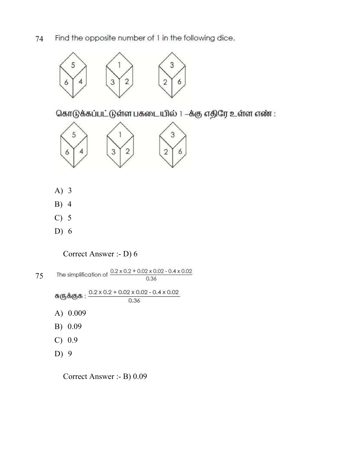Find the opposite number of 1 in the following dice. 74



கொடுக்கப்பட்டுள்ள பகடையில் 1 –க்கு எதிரே உள்ள எண் :



- A) 3
- B) 4
- C) 5
- D) 6

Correct Answer :- D) 6

The simplification of  $\frac{0.2 \times 0.2 + 0.02 \times 0.02 - 0.4 \times 0.02}{0.36}$ 75 0.36 சுருக்குக :  $\frac{0.2 \times 0.2 + 0.02 \times 0.02 - 0.4 \times 0.02}{0.36}$ A) 0.009 B) 0.09 C) 0.9 D) 9

Correct Answer :- B) 0.09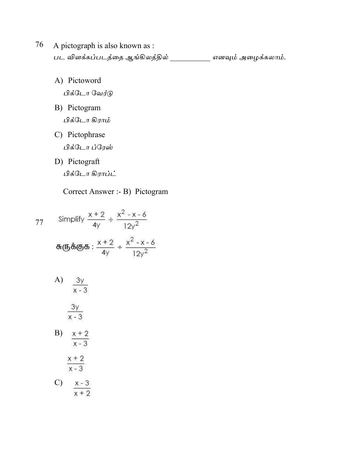- A pictograph is also known as : 76 பட விளக்கப்படத்தை ஆங்கிலத்தில் \_\_\_\_\_\_\_\_\_\_\_ எனவும் அழைக்கலாம்.
	- A) Pictoword

பிக்டோ வேர்டு

- B) Pictogram பிக்டோ கிராம்
- C) Pictophrase பிக்டோ ப்ரேஸ்
- D) Pictograft பிக்டோ கிராப்ட்

Correct Answer :- B) Pictogram

77 Simplify 
$$
\frac{x+2}{4y} \div \frac{x^2 - x - 6}{12y^2}
$$
  
\n
$$
\theta \theta \theta \theta \theta \theta \theta \frac{x+2}{4y} \div \frac{x^2 - x - 6}{12y^2}
$$
  
\nA) 
$$
\frac{3y}{x-3}
$$
  
\nB) 
$$
\frac{x+2}{x-3}
$$
  
\nB) 
$$
\frac{x+2}{x-3}
$$
  
\nC) 
$$
\frac{x+2}{x-3}
$$

$$
C) \quad \frac{x-3}{x+2}
$$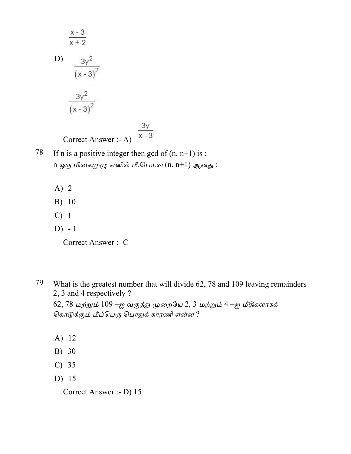$$
\frac{x-3}{x+2}
$$
  
D) 
$$
\frac{3y^2}{(x-3)^2}
$$

$$
\frac{3y^2}{(x-3)^2}
$$

$$
(\text{correct Answer : - A})
$$

$$
\frac{3y}{x-3}
$$

- 78 If n is a positive integer then gcd of  $(n, n+1)$  is: n ஒரு மிகைமுழு எனில் மீ.பொ.வ $(n, n+1)$  ஆனது:
	- $A)$  2
	- B) 10
	- $C)$  1
	- $D) 1$

Correct Answer :- C

79 What is the greatest number that will divide 62, 78 and 109 leaving remainders 2, 3 and 4 respectively ?

62, 78 மற்றும் 109 –ஐ வகுத்து முறையே 2, 3 மற்றும் 4 –ஐ மீதிகளாகக் கொடுக்கும் மீப்பெரு பொதுக் காரணி என்ன?

- A) 12
- B) 30
- $C)$  35
- D)  $15$

Correct Answer :- D) 15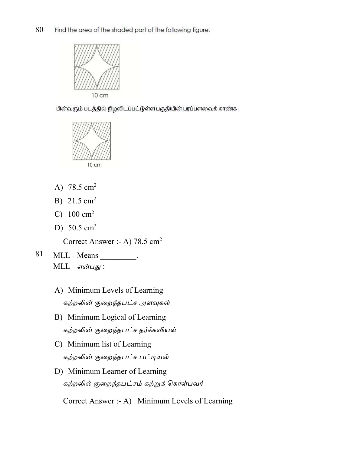

பின்வரும் படத்தில் நிழலிடப்பட்டுள்ள பகுதியின் பரப்பளவைக் காண்க :



- A) 78.5 cm<sup>2</sup>
- B)  $21.5 \text{ cm}^2$
- C)  $100 \text{ cm}^2$
- D) 50.5 cm<sup>2</sup>

Correct Answer :- A) 78.5 cm<sup>2</sup>

- 81 MLL - Means \_\_\_\_\_\_\_\_\_.  $MLL$  - என்பது :
	- A) Minimum Levels of Learning கற்றலின் குறைந்தபட்ச அளவுகள்
	- B) Minimum Logical of Learning கற்றலின் குறைந்தபட்ச தர்க்கவியல்
	- C) Minimum list of Learning கற்றலின் குறைந்தபட்ச பட்டியல்
	- D) Minimum Learner of Learning கற்றலில் குறைந்தபட்சம் கற்றுக் கொள்பவர்

Correct Answer :- A) Minimum Levels of Learning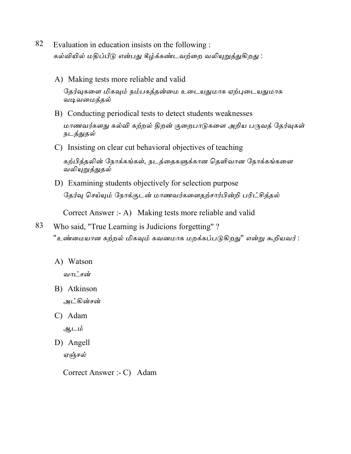- 82 Evaluation in education insists on the following : கல்வியில் மதிப்பீடு என்பது கீழ்க்கண்டவற்றை வலியுறுத்துகிறது :
	- A) Making tests more reliable and valid தேர்வுகளை மிகவும் நம்பகத்தன்மை உடையதுமாக ஏற்புடையதுமாக வடிவமைத்தல்
	- B) Conducting periodical tests to detect students weaknesses மாணவர்களது கல்வி கற்றல் திறன் குறைபாடுகளை அறிய பருவத் தேர்வுகள் <u>நடத்துத</u>ல்
	- C) Insisting on clear cut behavioral objectives of teaching

கற்பித்தலின் நோக்கங்கள், நடத்தைகளுக்கான தெளிவான நோக்கங்களை வலியு<u>றுத்துத</u>ல்

D) Examining students objectively for selection purpose தேர்வு செய்யும் நோக்குடன் மாணவர்களைதற்சார்பின்றி பரிட்சித்தல்

Correct Answer :- A) Making tests more reliable and valid

- 83 Who said, "True Learning is Judicions forgetting"? "உண்மையான கற்றல் மிகவும் கவனமாக மறக்கப்படுகிறது" என்று கூறியவர் :
	- A) Watson

வாட்சன்

B) Atkinson

அட்கின்சன்

C) Adam

ஆடம்

D) Angell ஏஞ்சல்

Correct Answer :- C) Adam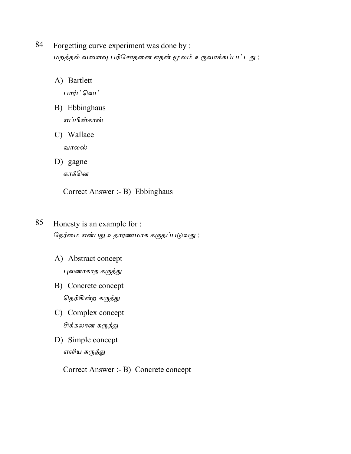- 84 Forgetting curve experiment was done by : மறத்தல் வளைவு பரிசோதனை எதன் மூலம் உருவாக்கப்பட்டது :
	- A) Bartlett

பார்ட்லெட்

- B) Ebbinghaus எப்பின்காஸ்
- C) Wallace வாலஸ்
- D) gagne காக்னெ

Correct Answer :- B) Ebbinghaus

- 85 Honesty is an example for : நேர்மை என்பது உதாரணமாக கருதப்படுவது:
	- A) Abstract concept புலனாகாத கருத்து
	- B) Concrete concept தெரிகின்ற கருத்து
	- C) Complex concept சிக்கலான கருத்து
	- D) Simple concept எளிய கருத்து

Correct Answer :- B) Concrete concept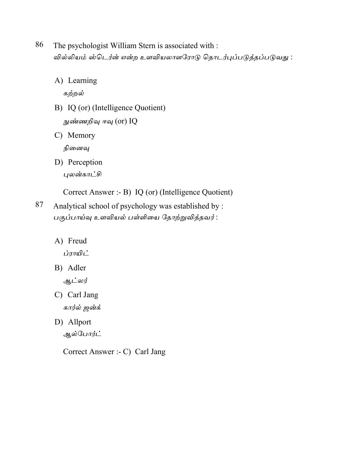- 86 The psychologist William Stern is associated with : வில்லியம் ஸ்டெர்ன் என்ற உளவியலாளரோடு தொடர்புப்படுத்தப்படுவது :
	- A) Learning

கற்றல்

B) IQ (or) (Intelligence Quotient)

நுண்ணறிவு ஈவு (or) IQ

C) Memory

நினைவு

D) Perception புலன்காட்சி

Correct Answer :- B) IQ (or) (Intelligence Quotient)

87 Analytical school of psychology was established by: பகுப்பாய்வு உளவியல் பள்ளியை தோற்றுவித்தவர்:

A) Freud

ப்ராயிட்

B) Adler

ஆட்லர்

- C) Carl Jang கார்ல் ஜன்க்
- D) Allport ஆல்போர்ட்

Correct Answer :- C) Carl Jang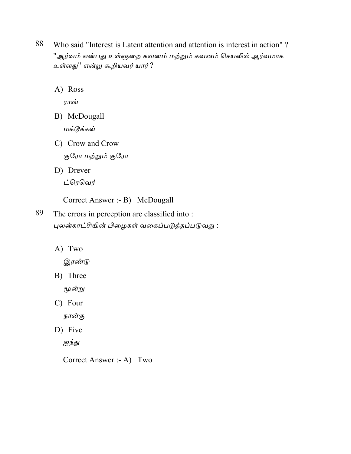- 88 Who said "Interest is Latent attention and attention is interest in action"? "ஆர்வம் என்பது உள்ளுறை கவனம் மற்றும் கவனம் செயலில் ஆர்வமாக உள்ளது'' என்று கூறியவர் யார்?
	- A) Ross

ராஸ்

- B) McDougall மக்டூக்கல்
- C) Crow and Crow குரோ மற்றும் குரோ
- D) Drever
	- ட்ரெவெர்
	- Correct Answer :- B) McDougall
- 89 The errors in perception are classified into: புலன்காட்சியின் பிழைகள் வகைப்படுத்தப்படுவது :
	- A) Two

இரண்டு

B) Three

மூன்று

C) Four

நான்கு

D) Five

ஐந்து

Correct Answer :- A) Two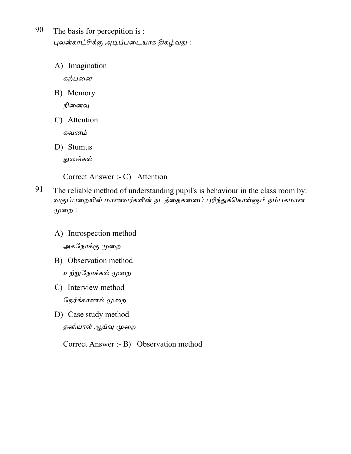90 The basis for percepition is: புலன்காட்சிக்கு அடிப்படையாக திகழ்வது :

> A) Imagination கற்பனை

B) Memory

நினைவு

C) Attention

கவனம்

D) Stumus துலங்கல்

Correct Answer :- C) Attention

- 91 The reliable method of understanding pupil's is behaviour in the class room by: வகுப்பறையில் மாணவர்களின் நடத்தைகளைப் புரிந்துக்கொள்ளும் நம்பகமான முறை :
	- A) Introspection method அகநோக்கு முறை
	- B) Observation method உற்றுநோக்கல் முறை
	- C) Interview method நேர்க்காணல் முறை
	- D) Case study method தனியாள் ஆய்வு முறை

Correct Answer :- B) Observation method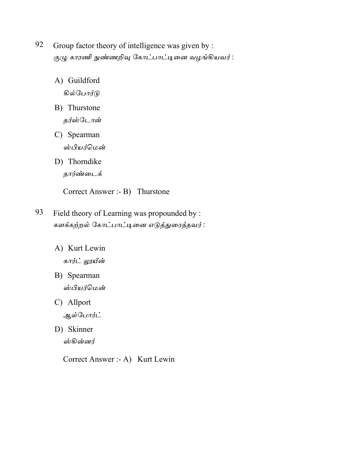- 92 Group factor theory of intelligence was given by : குழு காரணி நுண்ணறிவு கோட்பாட்டினை வழங்கியவர் :
	- A) Guildford கில்போர்டு
	- B) Thurstone தர்ஸ்டோன்
	- C) Spearman ஸ்பியர்மென்
	- D) Thorndike தார்ண்டைக்

Correct Answer :- B) Thurstone

- 93 Field theory of Learning was propounded by : களக்கற்றல் கோட்பாட்டினை எடுத்துரைத்தவர் :
	- A) Kurt Lewin கார்ட் லூயீன்
	- B) Spearman ஸ்பியர்மென்
	- C) Allport ஆல்போர்ட்
	- D) Skinner

ஸ்கின்னர்

Correct Answer :- A) Kurt Lewin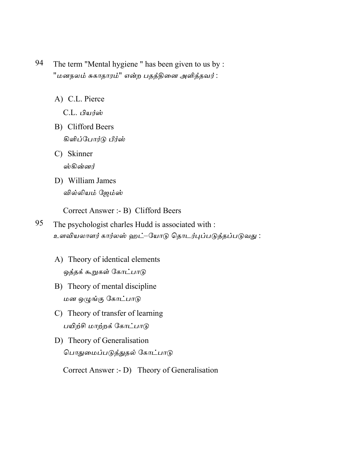- 94 The term "Mental hygiene" has been given to us by: "மனநலம் சுகாதாரம்" என்ற பதத்தினை அளித்தவர் :
	- A) C.L. Pierce

C.L. பியர்ஸ்

- B) Clifford Beers கிளிப்போர்டு பீர்ஸ்
- C) Skinner ஸ்கின்னர்
- D) William James வில்லியம் ஜேம்ஸ்

Correct Answer :- B) Clifford Beers

- 95 The psychologist charles Hudd is associated with : உளவியலாளர் கார்லஸ் ஹட்–யோடு தொடர்புப்படுத்தப்படுவது :
	- A) Theory of identical elements ஒத்தக் கூறுகள் கோட்பாடு
	- B) Theory of mental discipline மன ஒழுங்கு கோட்பாடு
	- C) Theory of transfer of learning பயிற்சி மாற்றக் கோட்பாடு
	- D) Theory of Generalisation பொதுமைப்படுத்துதல் கோட்பாடு

Correct Answer :- D) Theory of Generalisation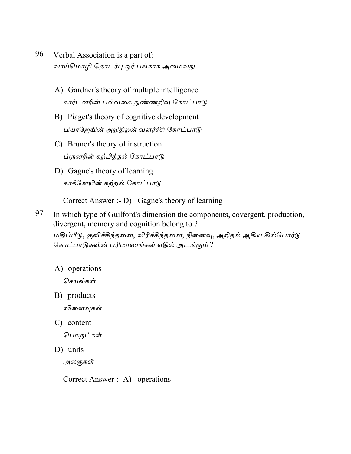- 96 Verbal Association is a part of: வாய்மொழி தொடர்பு ஓர் பங்காக அமைவது :
	- A) Gardner's theory of multiple intelligence கார்டனரின் பல்வகை நுண்ணறிவு கோட்பாடு
	- B) Piaget's theory of cognitive development பியாஜேயின் அறிதிறன் வளர்ச்சி கோட்பாடு
	- C) Bruner's theory of instruction ப்ரூனரின் கற்பித்தல் கோட்பாடு
	- D) Gagne's theory of learning காக்னேயின் கற்றல் கோட்பாடு

Correct Answer :- D) Gagne's theory of learning

- 97 In which type of Guilford's dimension the components, covergent, production, divergent, memory and cognition belong to? மதிப்பீடு, குவிச்சிந்தனை, விரிச்சிந்தனை, நினைவு, அறிதல் ஆகிய கில்போர்டு கோட்பாடுகளின் பரிமாணங்கள் எதில் அடங்கும் ?
	- A) operations

செயல்கள்

- B) products விளைவுகள்
- C) content

பொருட்கள்

D) units

அலகுகள்

Correct Answer :- A) operations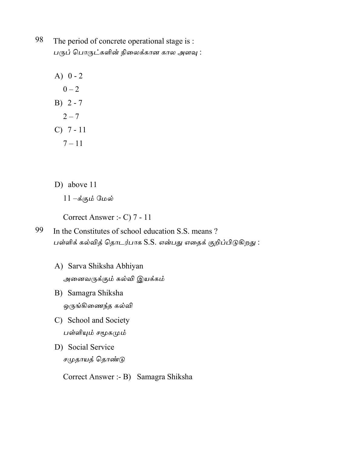98 The period of concrete operational stage is : பருப் பொருட்களின் நிலைக்கான கால அளவு :

- A)  $0 2$  $0 - 2$  $B) 2 - 7$  $2 - 7$  $C) 7 - 11$  $7 - 11$
- D) above 11
	- $11 \dot{\mathbf{s}}$ கும் மேல்

Correct Answer :- C) 7 - 11

- 99 In the Constitutes of school education S.S. means? பள்ளிக் கல்வித் தொடர்பாக S.S. என்பது எதைக் குறிப்பிடுகிறது :
	- A) Sarva Shiksha Abhiyan அனைவருக்கும் கல்வி இயக்கம்
	- B) Samagra Shiksha ஒருங்கிணைந்த கல்வி
	- C) School and Society பள்ளியும் சமூகமும்
	- D) Social Service சமுதாயத் தொண்டு

Correct Answer :- B) Samagra Shiksha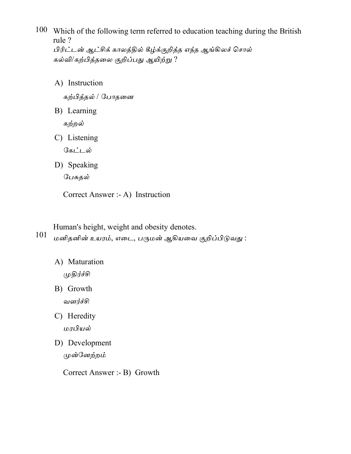- 100 Which of the following term referred to education teaching during the British rule ? பிரிட்டன் ஆட்சிக் காலத்தில் கீழ்க்குறித்த எந்த ஆங்கிலச் சொல் கல்வி/கற்பித்தலை குறிப்பது ஆயிற்று ?
	- A) Instruction

கற்பித்தல் / போதனை

B) Learning

கற்றல்

C) Listening

கேட்டல்

D) Speaking

பேசுதல்

Correct Answer :- A) Instruction

Human's height, weight and obesity denotes.

101 மனிதனின் உயரம், எடை, பருமன் ஆகியவை குறிப்பிடுவது :

A) Maturation

முதிர்ச்சி

- B) Growth வளர்ச்சி
- C) Heredity மரபியல்
- D) Development முன்னேற்றம்

Correct Answer :- B) Growth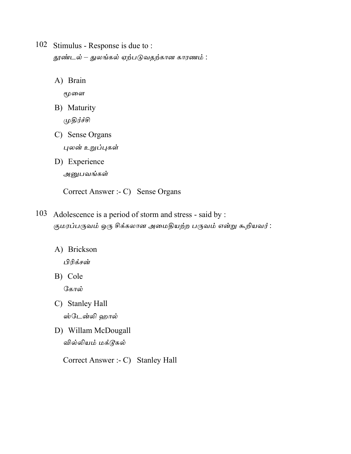- 102 Stimulus Response is due to: தூண்டல் – துலங்கல் ஏற்படுவதற்கான காரணம் :
	- A) Brain

மூளை

B) Maturity

முதிர்ச்சி

- C) Sense Organs புலன் உறுப்புகள்
- D) Experience அனுபவங்கள்

Correct Answer :- C) Sense Organs

- 103 Adolescence is a period of storm and stress said by : குமரப்பருவம் ஒரு சிக்கலான அமைதியற்ற பருவம் என்று கூறியவர்:
	- A) Brickson

பிரிக்சன்

B) Cole

கோல்

- C) Stanley Hall ஸ்டேன்லி ஹால்
- D) Willam McDougall வில்லியம் மக்டூகல்

Correct Answer :- C) Stanley Hall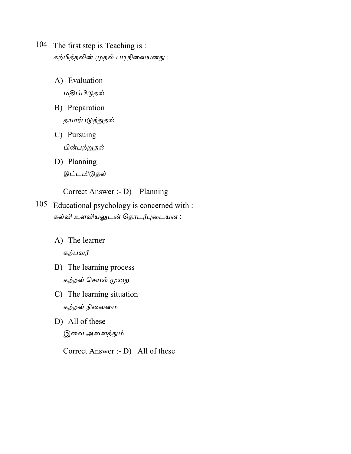- 104 The first step is Teaching is: கற்பித்தலின் முதல் படிநிலையனது :
	- A) Evaluation மதிப்பிடுதல்
	- B) Preparation

தயார்படுத<u>்கு</u>தல்

- C) Pursuing பின்பற்றுதல்
- D) Planning திட்டமிடுதல்

Correct Answer :- D) Planning

- 105 Educational psychology is concerned with : கல்வி உளவியலுடன் தொடர்புடையன :
	- A) The learner கற்பவர்
	- B) The learning process கற்றல் செயல் முறை
	- C) The learning situation கற்றல் நிலைமை
	- D) All of these இவை அனைத்தும்

Correct Answer :- D) All of these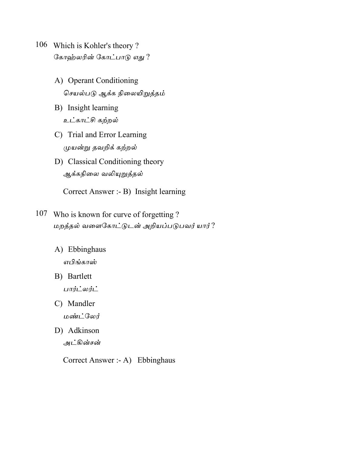- 106 Which is Kohler's theory? கோஹ்லரின் கோட்பாடு எது ?
	- A) Operant Conditioning செயல்படு ஆக்க நிலையிறுத்தம்
	- B) Insight learning உட்காட்சி கற்றல்
	- C) Trial and Error Learning முயன்று தவறிக் கற்றல்
	- D) Classical Conditioning theory ஆக்கநிலை வலியுறுத்தல்

Correct Answer :- B) Insight learning

- 107 Who is known for curve of forgetting? மறத்தல் வளைகோட்டுடன் அறியப்படுபவர் யார்?
	- A) Ebbinghaus எபிங்காஸ்
	- B) Bartlett பார்ட்லர்ட்
	- C) Mandler மண்ட்லேர்
	- D) Adkinson அட்கின்சன்

Correct Answer :- A) Ebbinghaus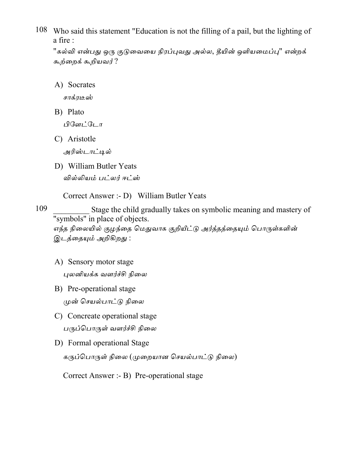108 Who said this statement "Education is not the filling of a pail, but the lighting of a fire :

"கல்வி என்பது ஒரு குடுவையை நிரப்புவது அல்ல, தீயின் ஒளியமைப்பு" என்றக் கூற்றைக் கூறியவர்?

A) Socrates

சாக்ரடீஸ்

B) Plato

பிளேட்டோ

C) Aristotle

அரிஸ்டாட்டில்

D) William Butler Yeats

வில்லியம் பட்லர் ஈட்ஸ்

Correct Answer :- D) William Butler Yeats

109 Stage the child gradually takes on symbolic meaning and mastery of "symbols" in place of objects. எந்த நிலையில் குழந்தை மெதுவாக குறியீட்டு அர்த்தத்தையும் பொருள்களின் இடத்தையும் அறிகிறது :

- A) Sensory motor stage புலனியக்க வளர்ச்சி நிலை
- B) Pre-operational stage முன் செயல்பாட்டு நிலை
- C) Concreate operational stage பருப்பொருள் வளர்ச்சி நிலை
- D) Formal operational Stage

கருப்பொருள் நிலை (முறையான செயல்பாட்டு நிலை)

Correct Answer :- B) Pre-operational stage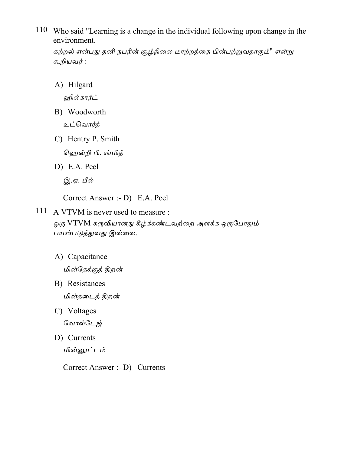110 Who said "Learning is a change in the individual following upon change in the environment.

கற்றல் என்பது தனி நபரின் சூழ்நிலை மாற்றத்தை பின்பற்றுவதாகும்'' என்று கூறியவர் :

A) Hilgard

ஹில்கார்ட்

B) Woodworth

உட்வொர்த்

C) Hentry P. Smith

ஹென்றி பி. ஸ்மித்

D) E.A. Peel

இ.ஏ. பீல்

Correct Answer :- D) E.A. Peel

- 111 A VTVM is never used to measure : ஒரு VTVM கருவியானது கீழ்க்கண்டவற்றை அளக்க ஒருபோதும் பயன்படுத்துவது இல்லை.
	- A) Capacitance

மின்தேக்குத் திறன்

- B) Resistances மின்தடைத் திறன்
- C) Voltages வோல்டேஜ்
- D) Currents

மின்னூட்டம்

Correct Answer :- D) Currents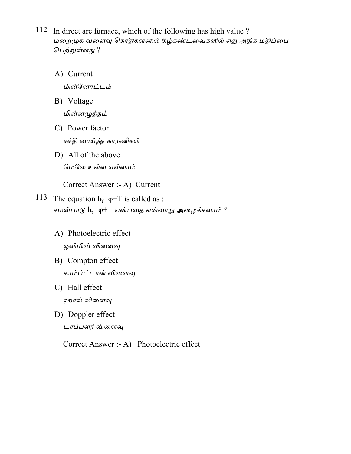- 112 In direct arc furnace, which of the following has high value ? மறைமுக வளைவு கொதிகளனில் கீழ்கண்டவைகளில் எது அதிக மதிப்பை பெற்றுள்ளது ?
	- A) Current மின்னோட்டம்
	- B) Voltage மின்னமுத்தம்
	- C) Power factor சக்தி வாய்ந்த காரணிகள்
	- D) All of the above மேலே உள்ள எல்லாம்

Correct Answer :- A) Current

- 113 The equation  $h_{\gamma} = \varphi + T$  is called as : சமன்பாடு  $h_{\gamma}$ =டி+ $T$  என்பதை எவ்வாறு அழைக்கலாம் ?
	- A) Photoelectric effect ஒளிமின் விளைவு
	- B) Compton effect காம்ப்ட்டான் விளைவு
	- C) Hall effect ஹால் விளைவு
	- D) Doppler effect டாப்பளர் விளைவு

Correct Answer :- A) Photoelectric effect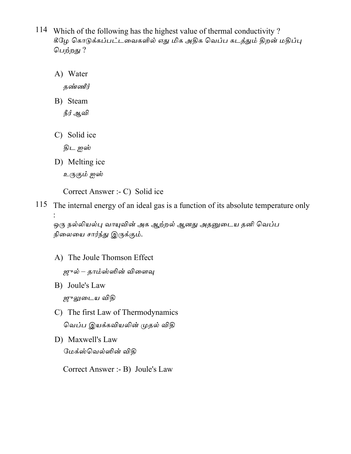- 114 Which of the following has the highest value of thermal conductivity? கீழே கொடுக்கப்பட்டவைகளில் எது மிக அதிக வெப்ப கடத்தும் திறன் மதிப்பு பெற்றது ?
	- A) Water

தண்ணீர்

- B) Steam நீர் ஆவி
- C) Solid ice

திட ஐஸ்

- D) Melting ice
	- உருகும் ஐஸ்

Correct Answer :- C) Solid ice

115 The internal energy of an ideal gas is a function of its absolute temperature only

ஒரு நல்லியல்பு வாயுவின் அக ஆற்றல் ஆனது அதனுடைய தனி வெப்ப நிலையை சார்ந்து இருக்கும்.

- A) The Joule Thomson Effect
	- ஜுல் தாம்ஸ்ஸின் விளைவு
- B) Joule's Law ஜுலுடைய விதி
- C) The first Law of Thermodynamics வெப்ப இயக்கவியலின் முதல் விதி
- D) Maxwell's Law மேக்ஸ்வெல்ஸின் விதி

Correct Answer :- B) Joule's Law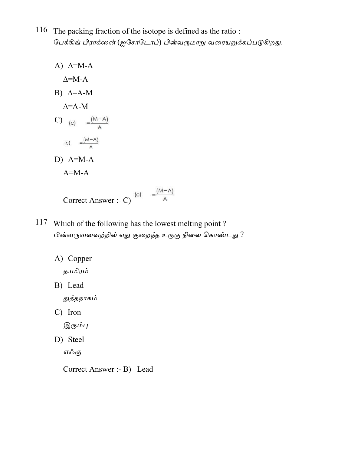- 116 The packing fraction of the isotope is defined as the ratio : பேக்கிங் பிராக்ஸன் (ஐசோடோப்) பின்வருமாறு வரையறுக்கப்படுகிறது.
	- A)  $\Delta=M-A$  $\Delta = M - A$ B)  $\Delta = A - M$  $\Delta = A - M$ C) (c)  $=\frac{(M-A)}{A}$ (c)  $=\frac{(M-A)}{A}$ D)  $A=M-A$  $A=M-A$ Correct Answer :- C)  $\overset{(c)}{=} \frac{\overset{(-)}{(-A)}}{A}$
- 117 Which of the following has the lowest melting point? பின்வருவனவற்றில் எது குறைந்த உருகு நிலை கொண்டது ?
	- A) Copper தாமிரம்
	- B) Lead

துத்தநாகம்

C) Iron

இரும்பு

D) Steel எஃகு

Correct Answer :- B) Lead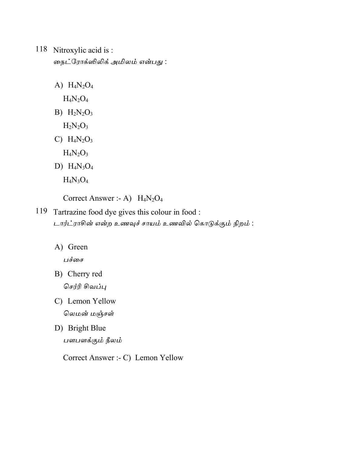## 118 Nitroxylic acid is: நைட்ரோக்ஸிலிக் அமிலம் என்பது :

A)  $H_4N_2O_4$ 

 $H_4N_2O_4$ 

B)  $H_2N_2O_3$ 

 $\rm H_2N_2O_3$ 

C)  $H_4N_2O_3$ 

 $H_4N_2O_3$ 

D)  $H_4N_3O_4$ 

 $H_4N_3O_4$ 

Correct Answer :- A)  $H_4N_2O_4$ 

- 119 Tartrazine food dye gives this colour in food : டார்ட்ராசின் என்ற உணவுச் சாயம் உணவில் கொடுக்கும் நிறம் :
	- A) Green

பச்சை

B) Cherry red

செர்ரி சிவப்பு

- C) Lemon Yellow லெமன் மஞ்சள்
- D) Bright Blue

பளபளக்கும் நீலம்

Correct Answer :- C) Lemon Yellow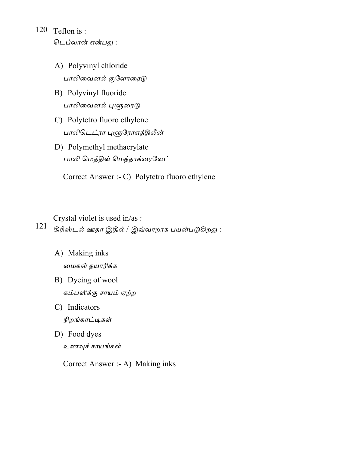- 120 Teflon is: டெப்லான் என்பது :
	- A) Polyvinyl chloride பாலிவைனல் குளோரைடு
	- B) Polyvinyl fluoride பாலிவைனல் புளூரைடு
	- C) Polytetro fluoro ethylene பாலிடெட்ரா புளூரோஎத்திலீன்
	- D) Polymethyl methacrylate பாலி மெத்தில் மெத்தாக்ரைலேட்

Correct Answer :- C) Polytetro fluoro ethylene

Crystal violet is used in/as :

121 கிரிஸ்டல் ஊதா இதில் / இவ்வாறாக பயன்படுகிறது :

- A) Making inks மைகள் தயாரிக்க
- B) Dyeing of wool கம்பளிக்கு சாயம் ஏற்ற
- C) Indicators நிறங்காட்டிகள்
- D) Food dyes உணவுச் சாயங்கள்

Correct Answer :- A) Making inks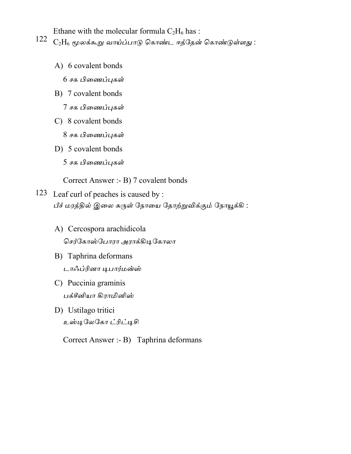Ethane with the molecular formula  $C_2H_6$  has:

- 122  $\rm{C_2H_6}$  மூலக்கூறு வாய்ப்பாடு கொண்ட ஈத்தேன் கொண்டுள்ளது :
	- A) 6 covalent bonds 6 சக பிணைப்புகள்
	- B) 7 covalent bonds

7 சக பிணைப்புகள்

C) 8 covalent bonds

8 சக பிணைப்புகள்

D) 5 covalent bonds 5 சக பிணைப்புகள்

Correct Answer :- B) 7 covalent bonds

- 123 Leaf curl of peaches is caused by : பீச் மரத்தில் இலை சுருள் நோயை தோற்றுவிக்கும் நோயூக்கி :
	- A) Cercospora arachidicola செர்கோஸ்போரா அராக்கிடிகோலா
	- B) Taphrina deformans டாஃப்ரினா டிபார்மன்ஸ்
	- C) Puccinia graminis பக்சீனியா கிராமினிஸ்
	- D) Ustilago tritici உஸ்டிலேகோ ட்ரிட்டிசி

Correct Answer :- B) Taphrina deformans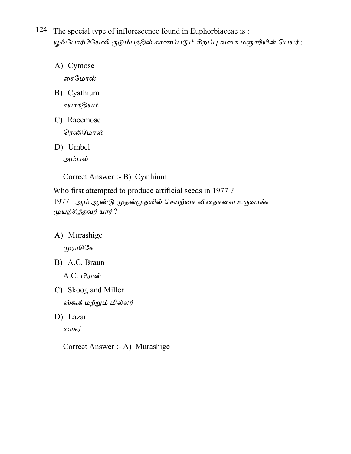124 The special type of inflorescence found in Euphorbiaceae is: யூஃபோர்பியேஸி குடும்பத்தில் காணப்படும் சிறப்பு வகை மஞ்சரியின் பெயர் :

- A) Cymose சைமோஸ்
- B) Cyathium சயாத்தியம்
- C) Racemose ரெஸிமோஸ்
- D) Umbel

அம்பல்

Correct Answer :- B) Cyathium

Who first attempted to produce artificial seeds in 1977? 1977 –ஆம் ஆண்டு முதன்முதலில் செயற்கை விதைகளை உருவாக்க முயற்சித்தவர் யார்?

A) Murashige

முராசிகே

B) A.C. Braun

A.C. பிரான்

- C) Skoog and Miller ஸ்கூக் மற்றும் மில்லர்
- D) Lazar

லாசர்

Correct Answer :- A) Murashige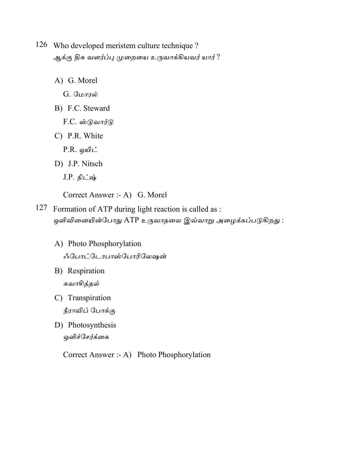- 126 Who developed meristem culture technique? ஆக்கு திசு வளர்ப்பு முறையை உருவாக்கியவர் யார் ?
	- A) G. Morel
		- G. மோரல்
	- B) F.C. Steward
		- F.C. ஸ்டுவார்டு
	- C) P.R. White

 $P.R.$  ஒயிட்

- D) J.P. Nitsch
	- J.P. நிட்ஷ்

Correct Answer :- A) G. Morel

- 127 Formation of ATP during light reaction is called as : ஒளிவினையின்போது ATP உருவாதலை இவ்வாறு அழைக்கப்படுகிறது :
	- A) Photo Phosphorylation ஃபோட்டோபாஸ்போரிலேஷன்
	- B) Respiration சுவாசித்தல்
	- C) Transpiration நீராவிப் போக்கு
	- D) Photosynthesis ஒளிச்சேர்க்கை

Correct Answer :- A) Photo Phosphorylation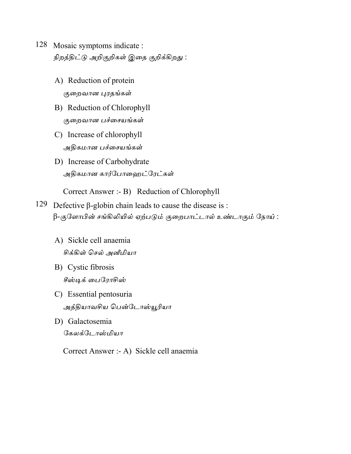- 128 Mosaic symptoms indicate : நிறத்திட்டு அறிகுறிகள் இதை குறிக்கிறது :
	- A) Reduction of protein குறைவான புரதங்கள்
	- B) Reduction of Chlorophyll குறைவான பச்சையங்கள்
	- C) Increase of chlorophyll அதிகமான பச்சையங்கள்
	- D) Increase of Carbohydrate அதிகமான கார்போஹைட்ரேட்கள்

Correct Answer :- B) Reduction of Chlorophyll

- 129 Defective  $\beta$ -globin chain leads to cause the disease is: β-குளோபின் சங்கிலியில் ஏற்படும் குறைபாட்டால் உண்டாகும் நோய் :
	- A) Sickle cell anaemia சிக்கிள் செல் அனீமியா
	- B) Cystic fibrosis சீஸ்டிக் பைரோசிஸ்
	- C) Essential pentosuria அத்தியாவசிய பென்டோஸ்யூரியா
	- D) Galactosemia கேலக்டோஸ்மியா

Correct Answer :- A) Sickle cell anaemia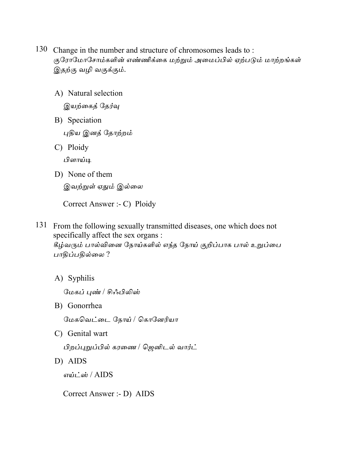- 130 Change in the number and structure of chromosomes leads to: குரோமோசோம்களின் எண்ணிக்கை மற்றும் அமைப்பில் ஏற்படும் மாற்றங்கள் இதற்கு வழி வகுக்கும்.
	- A) Natural selection இயற்கைத் தேர்வு
	- B) Speciation புதிய இனத் தோற்றம்
	- C) Ploidy

பிளாய்டி

D) None of them

இவற்றுள் ஏதும் இல்லை

Correct Answer :- C) Ploidy

131 From the following sexually transmitted diseases, one which does not specifically affect the sex organs :

கீழ்வரும் பால்வினை நோய்களில் எந்த நோய் குறிப்பாக பால் உறுப்பை பாதிப்பதில்லை?

A) Syphilis

மேகப் புண் / சிஃபிலிஸ்

B) Gonorrhea

மேகவெட்டை நோய் / கொனேரியா

C) Genital wart

பிறப்புறுப்பில் கரணை / ஜெனிடல் வார்ட்

D) AIDS

எய்ட்ஸ் /  $AIDS$ 

Correct Answer :- D) AIDS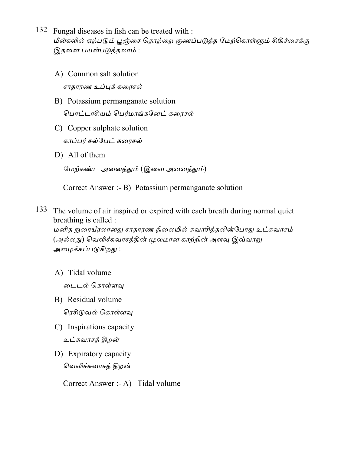- 132 Fungal diseases in fish can be treated with : மீன்களில் ஏற்படும் பூஞ்சை தொற்றை குணப்படுத்த மேற்கொள்ளும் சிகிச்சைக்கு இதனை பயன்படுத்தலாம் :
	- A) Common salt solution சாதாரண உப்புக் கரைசல்
	- B) Potassium permanganate solution பொட்டாசியம் பெர்மாங்கனேட் கரைசல்
	- C) Copper sulphate solution காப்பர் சல்பேட் கரைசல்
	- D) All of them

மேற்கண்ட அனைத்தும் (இவை அனைத்தும்)

Correct Answer :- B) Potassium permanganate solution

133 The volume of air inspired or expired with each breath during normal quiet breathing is called :

மனித நுரையீரலானது சாதாரண நிலையில் சுவாசித்தலின்போது உட்சுவாசம் (அல்லது) வெளிச்சுவாசத்தின் மூலமான காற்றின் அளவு இவ்வாறு அழைக்கப்படுகி<u>றத</u>ு :

A) Tidal volume

டைடல் கொள்ளவு

- B) Residual volume ரெசிடுவல் கொள்ளவு
- C) Inspirations capacity உட்சுவாசத் திறன்
- D) Expiratory capacity வெளிச்சுவாசத் திறன்

Correct Answer :- A) Tidal volume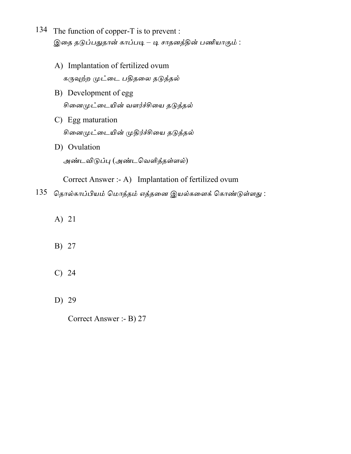- 134 The function of copper-T is to prevent : இதை தடுப்பதுதான் காப்படி – டி சாதனத்தின் பணியாகும் :
	- A) Implantation of fertilized ovum கருவுற்ற முட்டை பதிதலை தடுத்தல்
	- B) Development of egg சினைமுட்டையின் வளர்ச்சியை தடுத்தல்
	- C) Egg maturation சினைமுட்டையின் முதிர்ச்சியை தடுத்தல்
	- D) Ovulation அண்டவிடுப்பு (அண்டவெளித்தள்ளல்)

Correct Answer :- A) Implantation of fertilized ovum

- $135$  தொல்காப்பியம் மொத்தம் எத்தனை இயல்களைக் கொண்டுள்ளது :
	- A) 21
	- B) 27
	- $C)$  24
	- D) 29

Correct Answer :- B) 27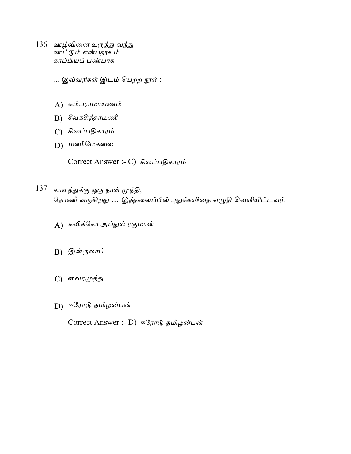- 136 ஊழ்வினை உருத்து வந்து ஊட்டும் என்பதூஉம் காப்பியப் பண்பாக
	- ... இவ்வரிகள் இடம் பெற்ற நூல் :
	- A) கம்பராமாயணம்
	- B) சீவகசிந்தாமணி
	- C) சிலப்பதிகாரம்
	- D) மணிமேகலை

Correct Answer :- C) சிலப்பதிகாரம்

- 137 காலத்துக்கு ஒரு நாள் முந்தி, தோணி வருகிறது … இத்தலைப்பில் புதுக்கவிதை எழுதி வெளியிட்டவர்.
	- A) கவிக்கோ அப்துல் ரகுமான்
	- B) இன்குலாப்
	- C) வைரமுத்து
	- D) ஈரோடு தமிழன்பன்

Correct Answer :- D) ஈரோடு தமிழன்பன்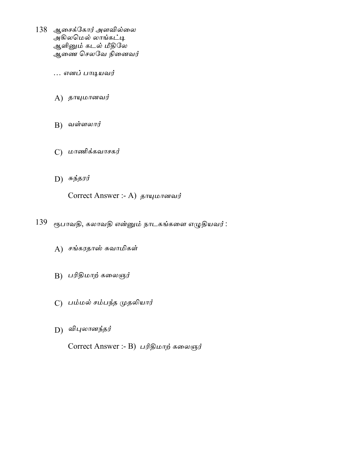- 138 ஆசைக்கோர் அளவில்லை அகிலமெல் லாங்கட்டி ஆளினும் கடல் மீதிலே ஆணை செலவே நினைவர்
	- … எனப் பாடியவர்
	- $A)$  தாயுமானவர்
	- $B$ ) வள்ளலார்
	- $C$ ) மாணிக்கவாசகர்
	- $D)$  சுந்தரர்

Correct Answer :- A) தாயுமானவர்

- 139 ரூபாவதி, கலாவதி என்னும் நாடகங்களை எழுதியவர் :
	- A) சங்கரதாஸ் சுவாமிகள்
	- B) பரிதிமாற் கலைஞர்
	- C) பம்மல் சம்பந்த முதலியார்
	- D) விபுலானந்தர்

Correct Answer :- B) பரிதிமாற் கலைஞர்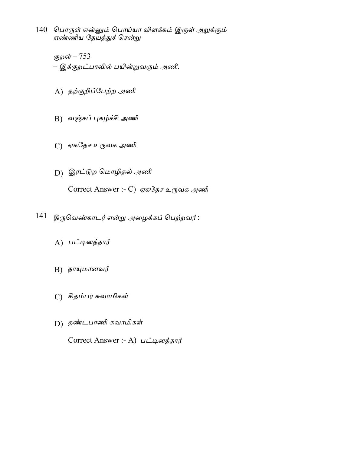- 140 பொருள் என்னும் பொய்யா விளக்கம் இருள் அறுக்கும் எண்ணிய தேயத்துச் சென்று
	- குறன் 753 – இக்குறட்பாவில் பயின்றுவரும் அணி.
	- A) தற்குறிப்பேற்ற அணி
	- B) வஞ்சப் புகழ்ச்சி அணி
	- C) ஏகதேச உருவக அணி
	- D) இரட்டுற மொழிதல் அணி Correct Answer :- C) ஏகதேச உருவக அணி
- $141$  திருவெண்காடர் என்று அழைக்கப் பெற்றவர் :
	- A) பட்டினத்தார்
	- $B$ ) தாயுமானவர்
	- C) சிதம்பர சுவாமிகள்
	- D) தண்டபாணி சுவாமிகள்

Correct Answer :- A) பட்டினத்தார்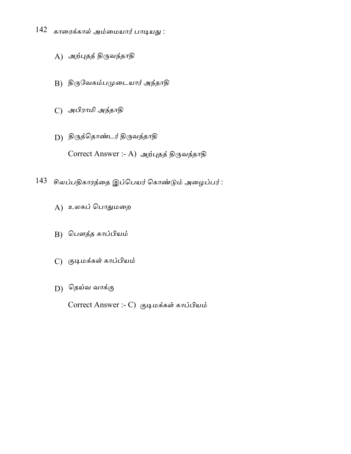- 142 காரைக்கால் அம்மையார் பாடியது :
	- A) அற்புதத் திருவந்தாதி
	- B) திருவேகம்பமுடையார் அந்தாதி
	- C) அபிராமி அந்தாதி
	- D) திருத்தொண்டர் திருவந்தாதி

Correct Answer :- A) அற்புதத் திருவந்தாதி

- 143 சிலப்பதிகாரத்தை இப்பெயர் கொண்டும் அழைப்பர் :
	- A) உலகப் பொதுமறை
	- B) பௌத்த காப்பியம்
	- C) குடிமக்கள் காப்பியம்
	- D) தெய்வ வாக்கு

Correct Answer :- C) குடிமக்கள் காப்பியம்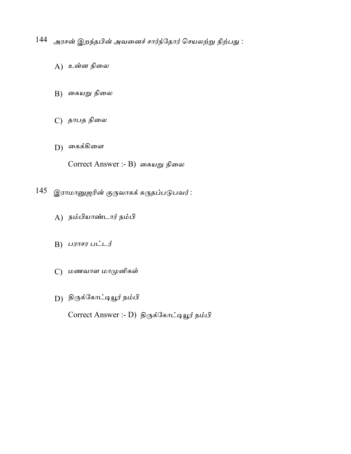144 அரசன் இறந்தபின் அவனைச் சார்ந்தோர் செயலற்று நிற்பது :

- $A)$  உன்ன நிலை
- B) கையறு நிலை
- C) தாபத நிலை
- $D)$  கைக்கிளை

Correct Answer :- B) கையறு நிலை

- 145 இராமானுஜரின் குருவாகக் கருதப்படுபவர்:
	- A) நம்பியாண்டார் நம்பி
	- B) பராசர பட்டர்
	- C) மணவாள மாமுனிகள்
	- D) திருக்கோட்டியூர் நம்பி

Correct Answer :- D) திருக்கோட்டியூர் நம்பி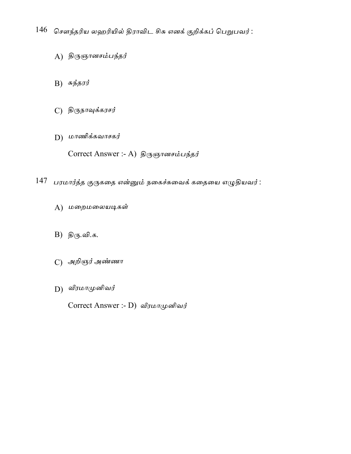$146$  சௌந்தரிய லஹரியில் திராவிட சிசு எனக் குறிக்கப் பெறுபவர்:

- A) திருஞானசம்பந்தர்
- B)  $\sigma$ ந்தரர்
- $C$ ) திருநாவுக்கரசர்
- D) மாணிக்கவாசகர்

Correct Answer :- A) திருஞானசம்பந்தர்

- $147$  பரமார்த்த குருகதை என்னும் நகைச்சுவைக் கதையை எழுதியவர்:
	- A) மறைமலையடிகள்
	- B) திரு.வி.க.
	- C) அறிஞர் அண்ணா
	- D) வீரமாமுனிவர்

Correct Answer :- D) வீரமாமுனிவர்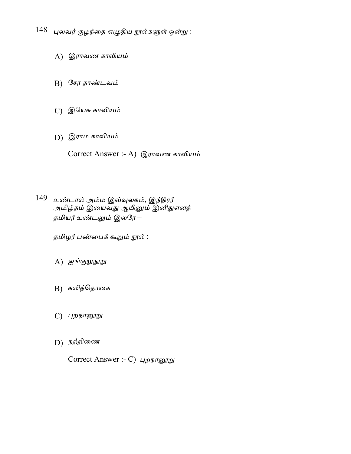- $148$  புலவர் குழந்தை எழுதிய நூல்களுள் ஒன்று :
	- A) இராவண காவியம்
	- B) சேர தாண்டவம்
	- C) இயேசு காவியம்
	- D) இராம காவியம்

Correct Answer :- A) இராவண காவியம்

149 உண்டால் அம்ம இவ்வுலகம், இந்திரர் அமிழ்தம் இயைவது ஆயினும் இனிதுஎனத் தமியர் உண்டலும் இலரே –

தமிழர் பண்பைக் கூறும் நூல் :

- A) ஐங்குறுநூறு
- B) கலித்தொகை
- $C$ ) புறநானூறு
- D) நற்றிணை

Correct Answer :- C) புறநானூறு